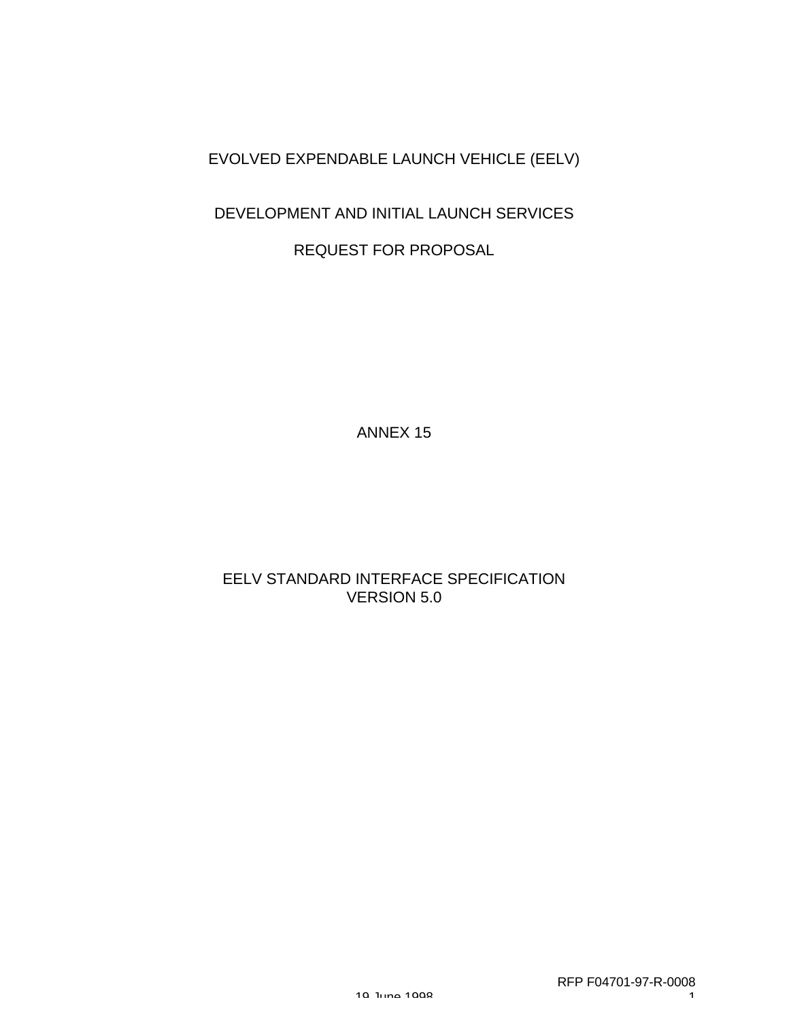EVOLVED EXPENDABLE LAUNCH VEHICLE (EELV)

# DEVELOPMENT AND INITIAL LAUNCH SERVICES REQUEST FOR PROPOSAL

ANNEX 15

EELV STANDARD INTERFACE SPECIFICATION VERSION 5.0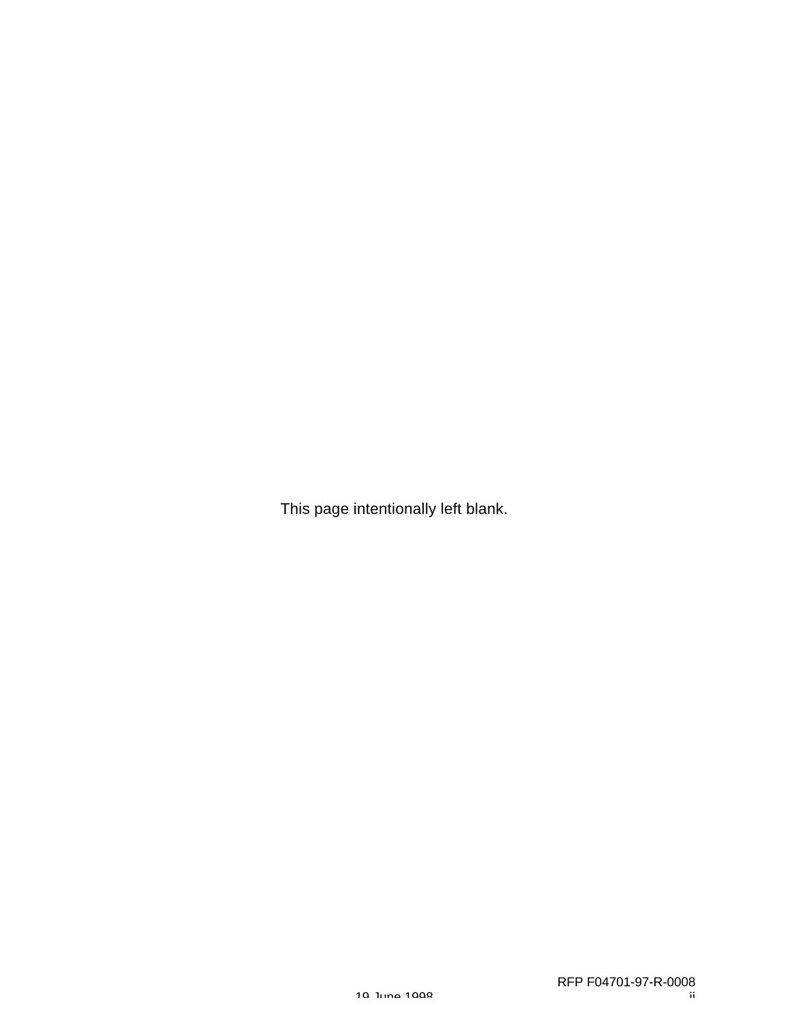This page intentionally left blank.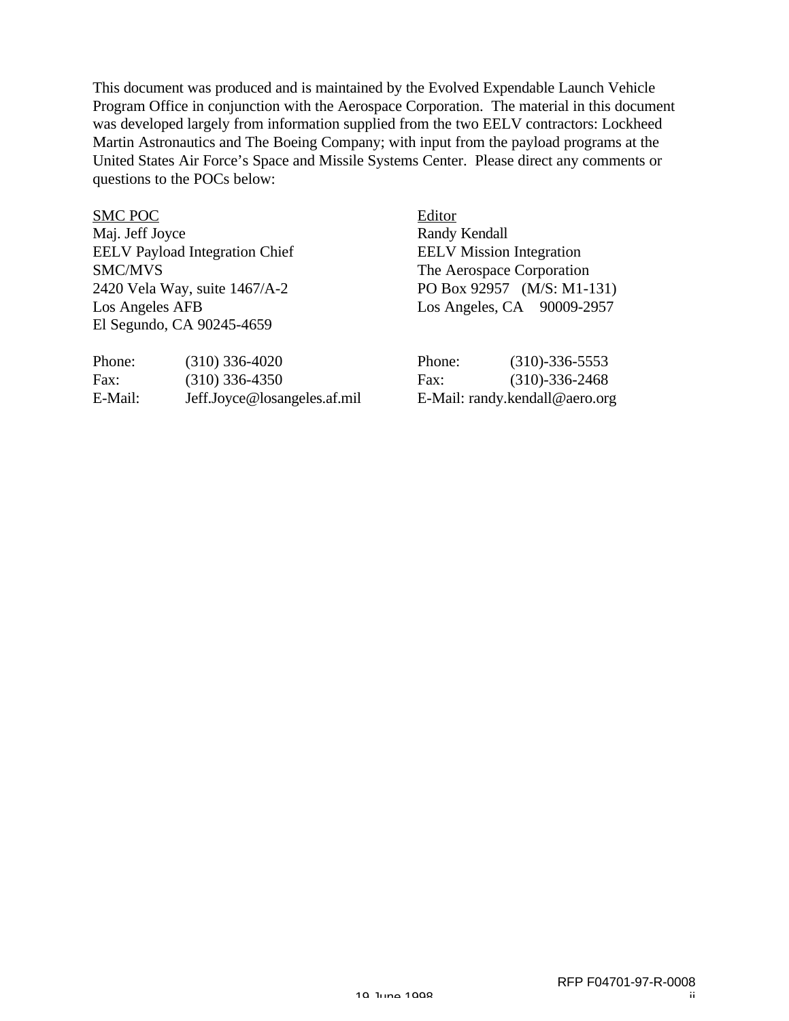This document was produced and is maintained by the Evolved Expendable Launch Vehicle Program Office in conjunction with the Aerospace Corporation. The material in this document was developed largely from information supplied from the two EELV contractors: Lockheed Martin Astronautics and The Boeing Company; with input from the payload programs at the United States Air Force's Space and Missile Systems Center. Please direct any comments or questions to the POCs below:

> Fax: (310)-336-2468 E-Mail: randy.kendall@aero.org

| <b>SMC POC</b>                        |                           | Editor                    |                                 |  |
|---------------------------------------|---------------------------|---------------------------|---------------------------------|--|
| Maj. Jeff Joyce                       |                           | Randy Kendall             |                                 |  |
| <b>EELV</b> Payload Integration Chief |                           |                           | <b>EELV</b> Mission Integration |  |
| <b>SMC/MVS</b>                        |                           | The Aerospace Corporation |                                 |  |
| 2420 Vela Way, suite 1467/A-2         |                           |                           | PO Box 92957 (M/S: M1-131)      |  |
| Los Angeles AFB                       |                           |                           | Los Angeles, CA 90009-2957      |  |
|                                       | El Segundo, CA 90245-4659 |                           |                                 |  |
| Phone:                                | $(310)$ 336-4020          | Phone:                    | $(310)-336-5553$                |  |

| Phone:  | $(310)$ 336-4020             |
|---------|------------------------------|
| Fax:    | $(310)$ 336-4350             |
| E-Mail: | Jeff.Joyce@losangeles.af.mil |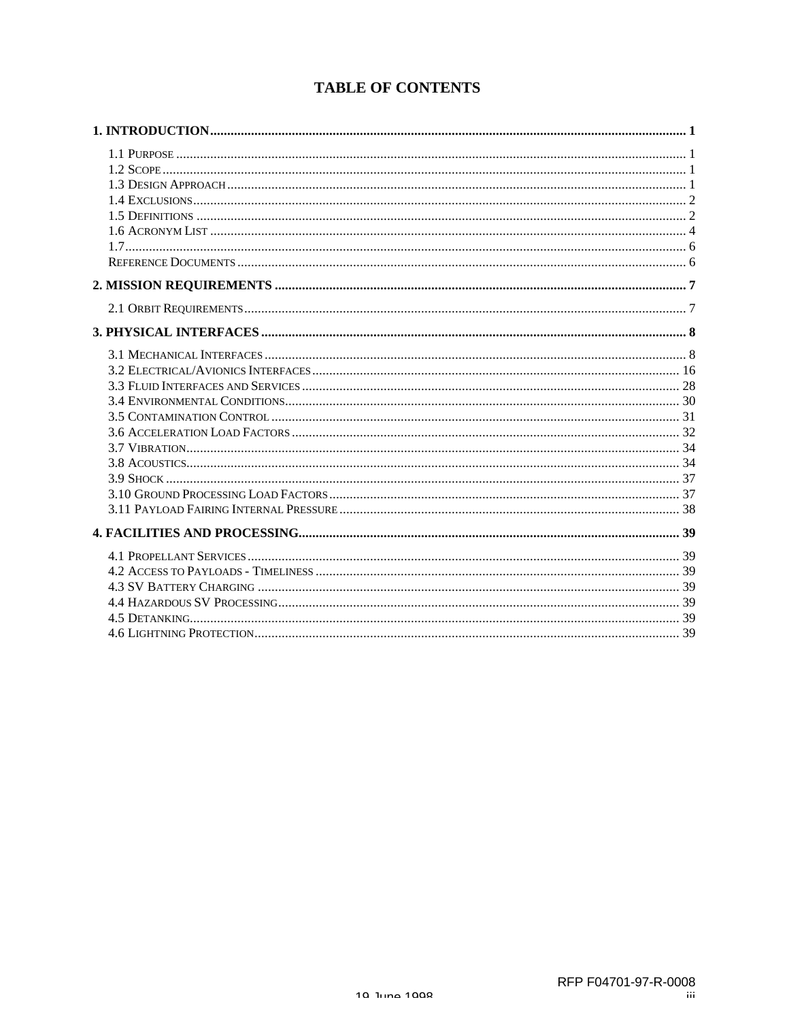# **TABLE OF CONTENTS**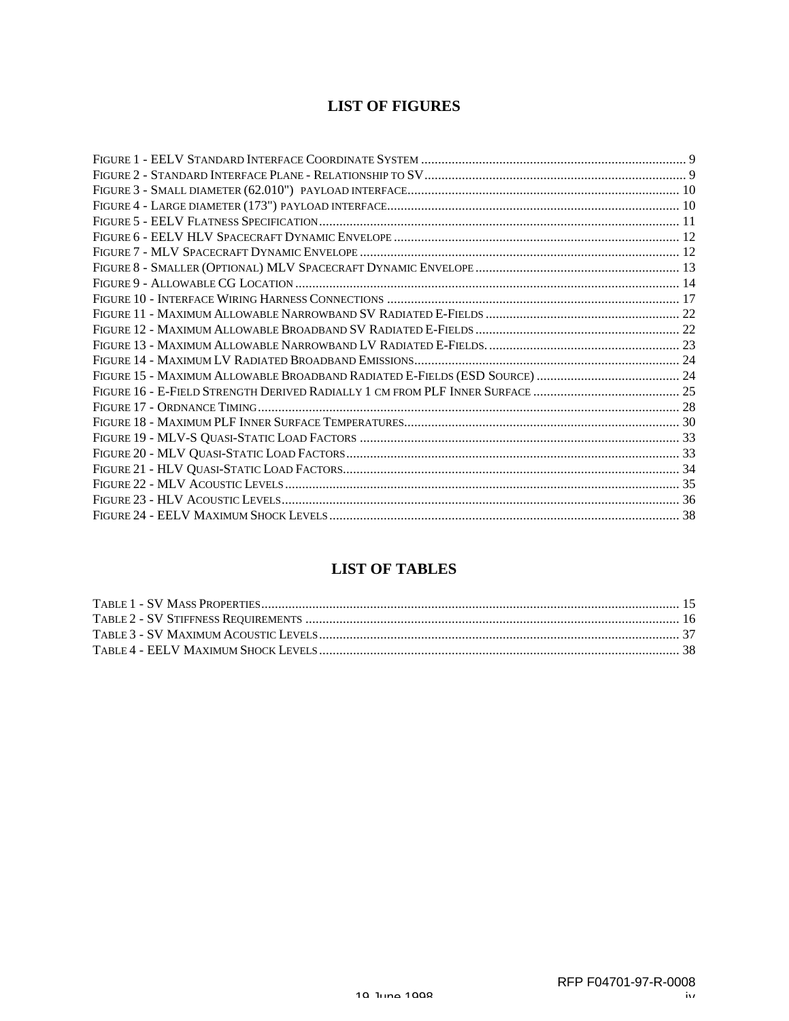# **LIST OF FIGURES**

# **LIST OF TABLES**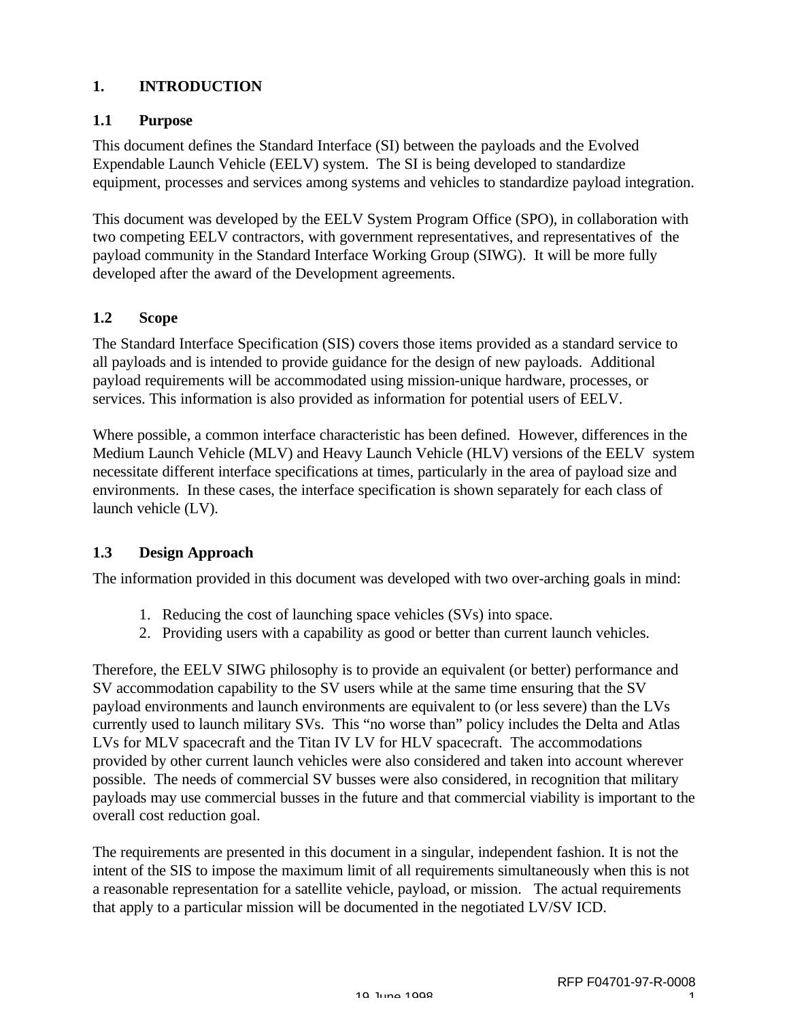## **1. INTRODUCTION**

#### **1.1 Purpose**

This document defines the Standard Interface (SI) between the payloads and the Evolved Expendable Launch Vehicle (EELV) system. The SI is being developed to standardize equipment, processes and services among systems and vehicles to standardize payload integration.

This document was developed by the EELV System Program Office (SPO), in collaboration with two competing EELV contractors, with government representatives, and representatives of the payload community in the Standard Interface Working Group (SIWG). It will be more fully developed after the award of the Development agreements.

## **1.2 Scope**

The Standard Interface Specification (SIS) covers those items provided as a standard service to all payloads and is intended to provide guidance for the design of new payloads. Additional payload requirements will be accommodated using mission-unique hardware, processes, or services. This information is also provided as information for potential users of EELV.

Where possible, a common interface characteristic has been defined. However, differences in the Medium Launch Vehicle (MLV) and Heavy Launch Vehicle (HLV) versions of the EELV system necessitate different interface specifications at times, particularly in the area of payload size and environments. In these cases, the interface specification is shown separately for each class of launch vehicle (LV).

#### **1.3 Design Approach**

The information provided in this document was developed with two over-arching goals in mind:

- 1. Reducing the cost of launching space vehicles (SVs) into space.
- 2. Providing users with a capability as good or better than current launch vehicles.

Therefore, the EELV SIWG philosophy is to provide an equivalent (or better) performance and SV accommodation capability to the SV users while at the same time ensuring that the SV payload environments and launch environments are equivalent to (or less severe) than the LVs currently used to launch military SVs. This "no worse than" policy includes the Delta and Atlas LVs for MLV spacecraft and the Titan IV LV for HLV spacecraft. The accommodations provided by other current launch vehicles were also considered and taken into account wherever possible. The needs of commercial SV busses were also considered, in recognition that military payloads may use commercial busses in the future and that commercial viability is important to the overall cost reduction goal.

The requirements are presented in this document in a singular, independent fashion. It is not the intent of the SIS to impose the maximum limit of all requirements simultaneously when this is not a reasonable representation for a satellite vehicle, payload, or mission. The actual requirements that apply to a particular mission will be documented in the negotiated LV/SV ICD.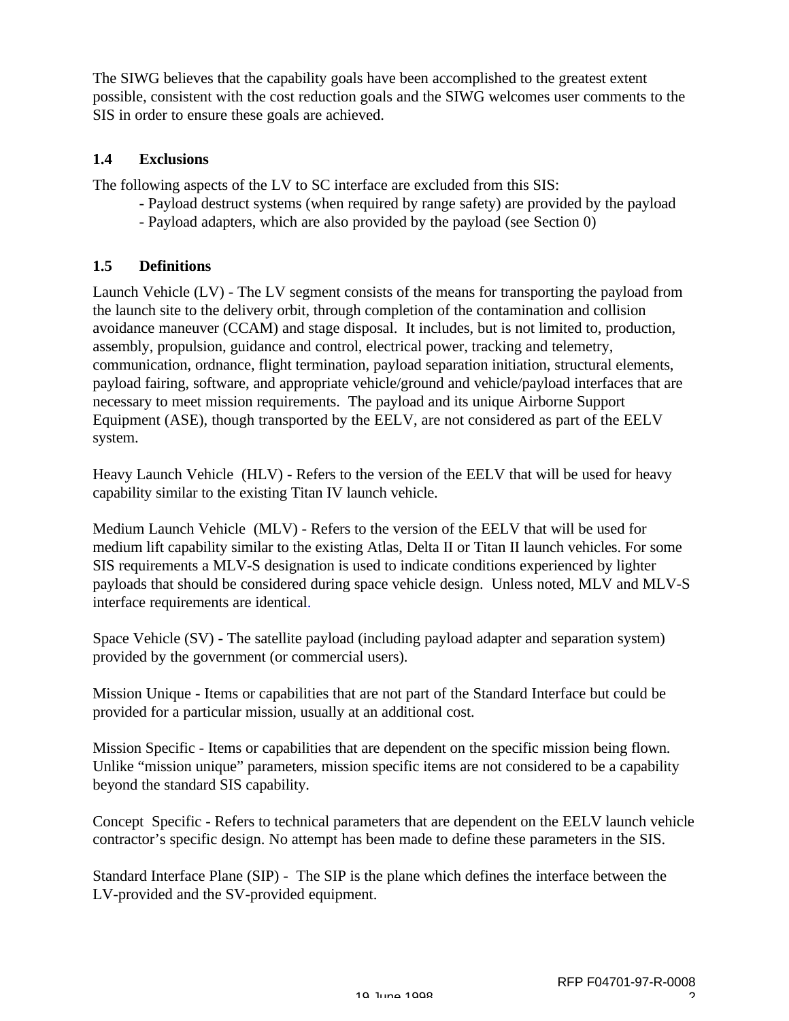The SIWG believes that the capability goals have been accomplished to the greatest extent possible, consistent with the cost reduction goals and the SIWG welcomes user comments to the SIS in order to ensure these goals are achieved.

#### **1.4 Exclusions**

The following aspects of the LV to SC interface are excluded from this SIS:

- Payload destruct systems (when required by range safety) are provided by the payload
- Payload adapters, which are also provided by the payload (see Section 0)

# **1.5 Definitions**

Launch Vehicle (LV) - The LV segment consists of the means for transporting the payload from the launch site to the delivery orbit, through completion of the contamination and collision avoidance maneuver (CCAM) and stage disposal. It includes, but is not limited to, production, assembly, propulsion, guidance and control, electrical power, tracking and telemetry, communication, ordnance, flight termination, payload separation initiation, structural elements, payload fairing, software, and appropriate vehicle/ground and vehicle/payload interfaces that are necessary to meet mission requirements. The payload and its unique Airborne Support Equipment (ASE), though transported by the EELV, are not considered as part of the EELV system.

Heavy Launch Vehicle (HLV) - Refers to the version of the EELV that will be used for heavy capability similar to the existing Titan IV launch vehicle.

Medium Launch Vehicle (MLV) - Refers to the version of the EELV that will be used for medium lift capability similar to the existing Atlas, Delta II or Titan II launch vehicles. For some SIS requirements a MLV-S designation is used to indicate conditions experienced by lighter payloads that should be considered during space vehicle design. Unless noted, MLV and MLV-S interface requirements are identical.

Space Vehicle (SV) - The satellite payload (including payload adapter and separation system) provided by the government (or commercial users).

Mission Unique - Items or capabilities that are not part of the Standard Interface but could be provided for a particular mission, usually at an additional cost.

Mission Specific - Items or capabilities that are dependent on the specific mission being flown. Unlike "mission unique" parameters, mission specific items are not considered to be a capability beyond the standard SIS capability.

Concept Specific - Refers to technical parameters that are dependent on the EELV launch vehicle contractor's specific design. No attempt has been made to define these parameters in the SIS.

Standard Interface Plane (SIP) - The SIP is the plane which defines the interface between the LV-provided and the SV-provided equipment.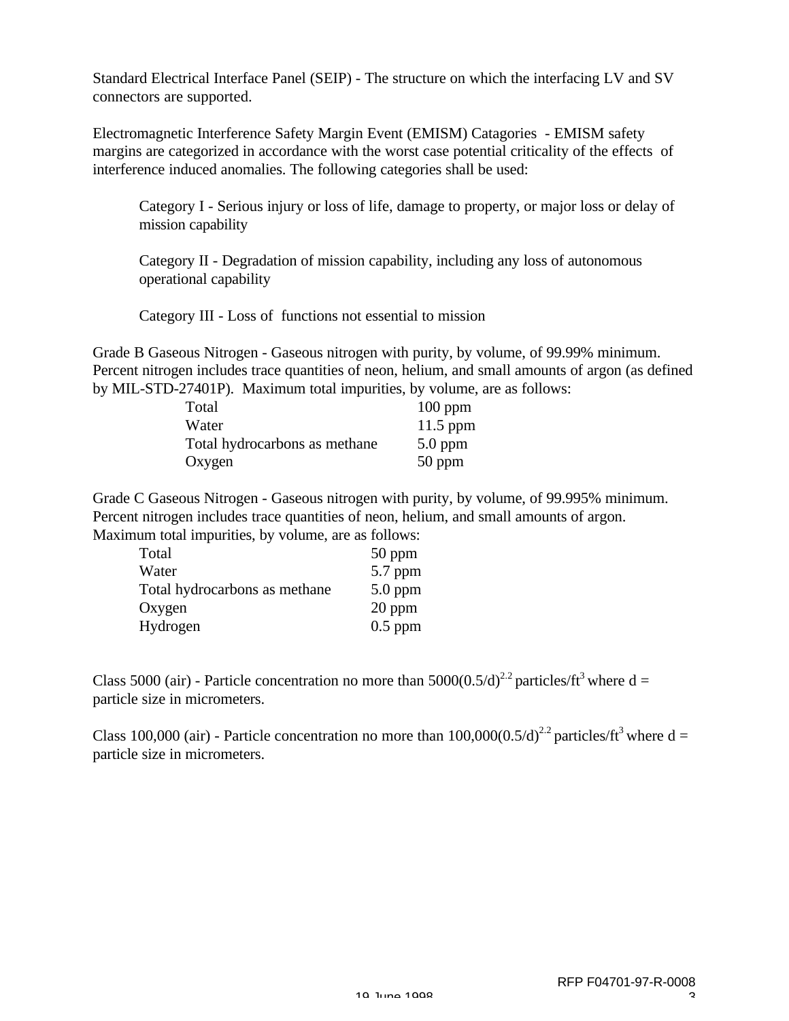Standard Electrical Interface Panel (SEIP) - The structure on which the interfacing LV and SV connectors are supported.

Electromagnetic Interference Safety Margin Event (EMISM) Catagories - EMISM safety margins are categorized in accordance with the worst case potential criticality of the effects of interference induced anomalies. The following categories shall be used:

Category I - Serious injury or loss of life, damage to property, or major loss or delay of mission capability

Category II - Degradation of mission capability, including any loss of autonomous operational capability

Category III - Loss of functions not essential to mission

Grade B Gaseous Nitrogen - Gaseous nitrogen with purity, by volume, of 99.99% minimum. Percent nitrogen includes trace quantities of neon, helium, and small amounts of argon (as defined by MIL-STD-27401P). Maximum total impurities, by volume, are as follows:

| Total                         | $100$ ppm  |
|-------------------------------|------------|
| Water                         | $11.5$ ppm |
| Total hydrocarbons as methane | $5.0$ ppm  |
| Oxygen                        | $50$ ppm   |

Grade C Gaseous Nitrogen - Gaseous nitrogen with purity, by volume, of 99.995% minimum. Percent nitrogen includes trace quantities of neon, helium, and small amounts of argon. Maximum total impurities, by volume, are as follows:

| Total                         | $50$ ppm  |
|-------------------------------|-----------|
| Water                         | $5.7$ ppm |
| Total hydrocarbons as methane | $5.0$ ppm |
| Oxygen                        | $20$ ppm  |
| Hydrogen                      | $0.5$ ppm |
|                               |           |

Class 5000 (air) - Particle concentration no more than  $5000(0.5/d)^{2.2}$  particles/ft<sup>3</sup> where d = particle size in micrometers.

Class 100,000 (air) - Particle concentration no more than  $100,000(0.5/d)^{2.2}$  particles/ft<sup>3</sup> where d = particle size in micrometers.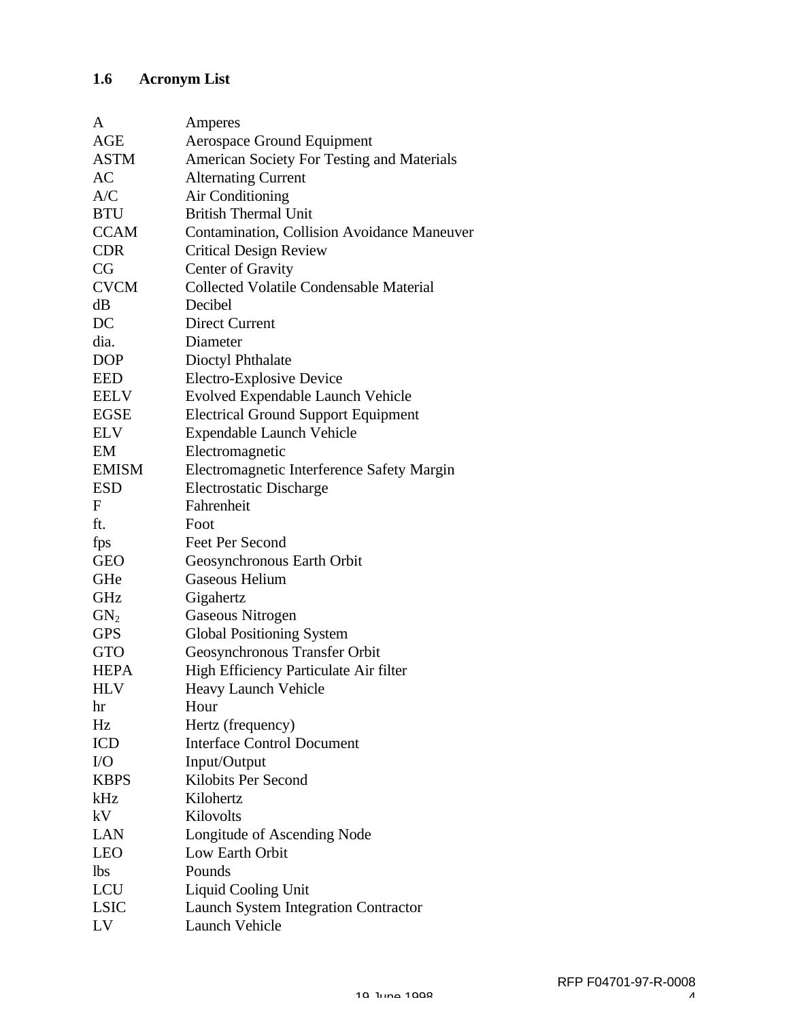# **1.6 Acronym List**

| A               | Amperes                                        |
|-----------------|------------------------------------------------|
| <b>AGE</b>      | Aerospace Ground Equipment                     |
| <b>ASTM</b>     | American Society For Testing and Materials     |
| AC              | <b>Alternating Current</b>                     |
| A/C             | Air Conditioning                               |
| <b>BTU</b>      | <b>British Thermal Unit</b>                    |
| <b>CCAM</b>     | Contamination, Collision Avoidance Maneuver    |
| <b>CDR</b>      | <b>Critical Design Review</b>                  |
| CG              | Center of Gravity                              |
| <b>CVCM</b>     | <b>Collected Volatile Condensable Material</b> |
| dB              | Decibel                                        |
| DC              | Direct Current                                 |
| dia.            | Diameter                                       |
| <b>DOP</b>      | Dioctyl Phthalate                              |
| <b>EED</b>      | Electro-Explosive Device                       |
| <b>EELV</b>     | Evolved Expendable Launch Vehicle              |
| <b>EGSE</b>     | <b>Electrical Ground Support Equipment</b>     |
| <b>ELV</b>      | <b>Expendable Launch Vehicle</b>               |
| EM              | Electromagnetic                                |
| <b>EMISM</b>    | Electromagnetic Interference Safety Margin     |
| <b>ESD</b>      | <b>Electrostatic Discharge</b>                 |
| F               | Fahrenheit                                     |
| ft.             | Foot                                           |
| fps             | <b>Feet Per Second</b>                         |
| <b>GEO</b>      | Geosynchronous Earth Orbit                     |
| GHe             | Gaseous Helium                                 |
| GHz             | Gigahertz                                      |
| GN <sub>2</sub> | Gaseous Nitrogen                               |
| <b>GPS</b>      | <b>Global Positioning System</b>               |
| <b>GTO</b>      | Geosynchronous Transfer Orbit                  |
| <b>HEPA</b>     | High Efficiency Particulate Air filter         |
| <b>HLV</b>      | Heavy Launch Vehicle                           |
| hr              | Hour                                           |
| Hz              | Hertz (frequency)                              |
| ICD             | <b>Interface Control Document</b>              |
| I/O             | Input/Output                                   |
| <b>KBPS</b>     | Kilobits Per Second                            |
| kHz             | Kilohertz                                      |
| kV              | Kilovolts                                      |
| <b>LAN</b>      | Longitude of Ascending Node                    |
| <b>LEO</b>      | Low Earth Orbit                                |
| <b>lbs</b>      | Pounds                                         |
| <b>LCU</b>      | <b>Liquid Cooling Unit</b>                     |
| <b>LSIC</b>     | <b>Launch System Integration Contractor</b>    |
| LV              | Launch Vehicle                                 |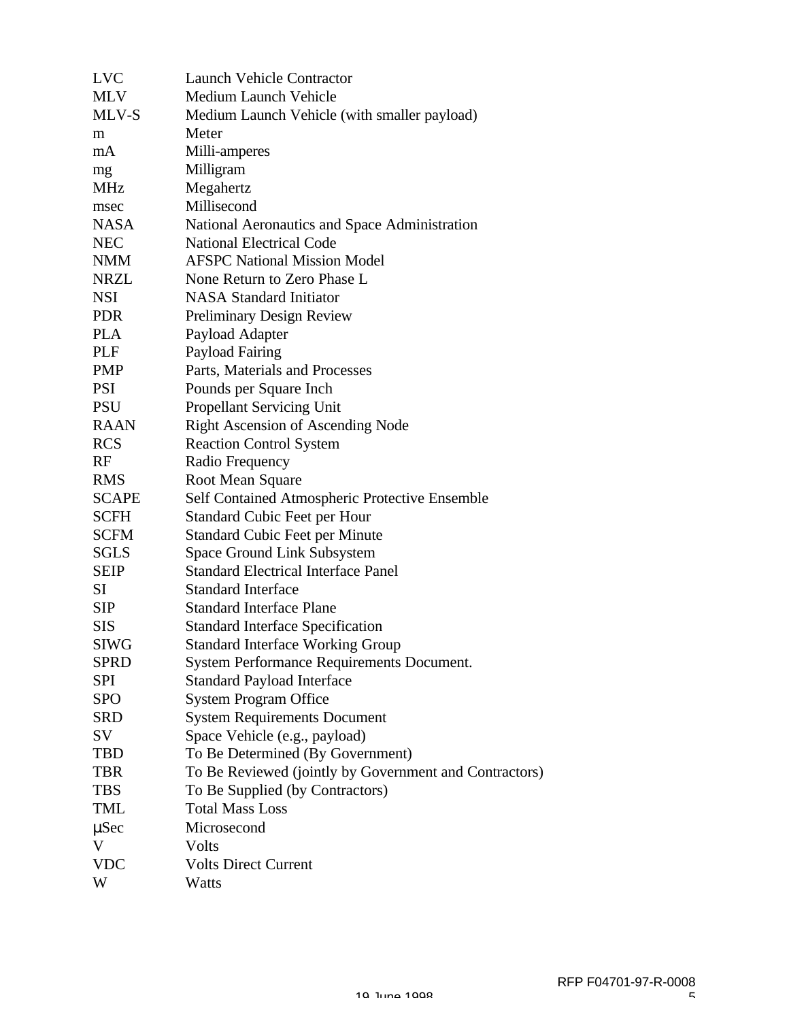| <b>LVC</b>   | <b>Launch Vehicle Contractor</b>                       |
|--------------|--------------------------------------------------------|
| <b>MLV</b>   | <b>Medium Launch Vehicle</b>                           |
| MLV-S        | Medium Launch Vehicle (with smaller payload)           |
| m            | Meter                                                  |
| mA           | Milli-amperes                                          |
| mg           | Milligram                                              |
| <b>MHz</b>   | Megahertz                                              |
| msec         | Millisecond                                            |
| NASA         | National Aeronautics and Space Administration          |
| <b>NEC</b>   | <b>National Electrical Code</b>                        |
| NMM          | <b>AFSPC National Mission Model</b>                    |
| <b>NRZL</b>  | None Return to Zero Phase L                            |
| <b>NSI</b>   | <b>NASA Standard Initiator</b>                         |
| <b>PDR</b>   | Preliminary Design Review                              |
| <b>PLA</b>   | Payload Adapter                                        |
| PLF          | Payload Fairing                                        |
| <b>PMP</b>   | Parts, Materials and Processes                         |
| <b>PSI</b>   | Pounds per Square Inch                                 |
| <b>PSU</b>   | <b>Propellant Servicing Unit</b>                       |
| <b>RAAN</b>  | <b>Right Ascension of Ascending Node</b>               |
| <b>RCS</b>   | <b>Reaction Control System</b>                         |
| RF           | Radio Frequency                                        |
| <b>RMS</b>   | Root Mean Square                                       |
| <b>SCAPE</b> | Self Contained Atmospheric Protective Ensemble         |
| <b>SCFH</b>  | Standard Cubic Feet per Hour                           |
| <b>SCFM</b>  | <b>Standard Cubic Feet per Minute</b>                  |
| <b>SGLS</b>  | Space Ground Link Subsystem                            |
| <b>SEIP</b>  | <b>Standard Electrical Interface Panel</b>             |
| SI           | <b>Standard Interface</b>                              |
| <b>SIP</b>   | <b>Standard Interface Plane</b>                        |
| <b>SIS</b>   | <b>Standard Interface Specification</b>                |
| SIWG         | <b>Standard Interface Working Group</b>                |
| <b>SPRD</b>  | <b>System Performance Requirements Document.</b>       |
| SPI          | <b>Standard Payload Interface</b>                      |
| <b>SPO</b>   | <b>System Program Office</b>                           |
| <b>SRD</b>   | <b>System Requirements Document</b>                    |
| SV           | Space Vehicle (e.g., payload)                          |
| <b>TBD</b>   | To Be Determined (By Government)                       |
| <b>TBR</b>   | To Be Reviewed (jointly by Government and Contractors) |
| <b>TBS</b>   | To Be Supplied (by Contractors)                        |
| TML          | <b>Total Mass Loss</b>                                 |
| $\mu$ Sec    | Microsecond                                            |
| V            | Volts                                                  |
| <b>VDC</b>   | <b>Volts Direct Current</b>                            |
| W            | Watts                                                  |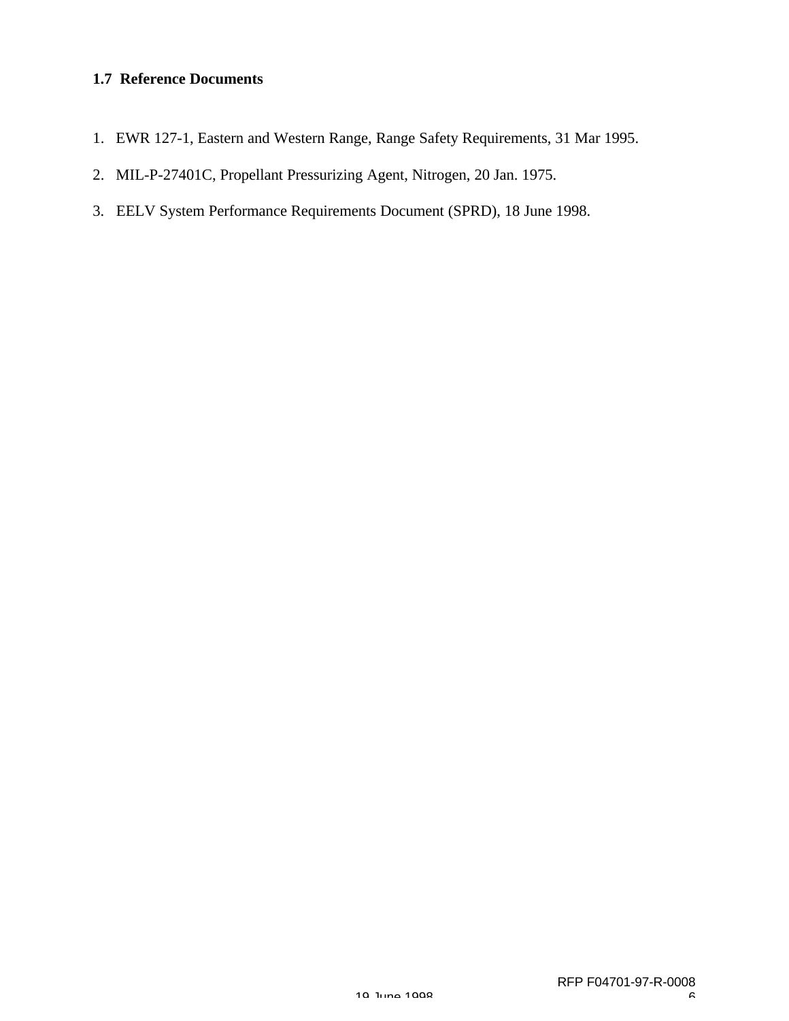## **1.7 Reference Documents**

- 1. EWR 127-1, Eastern and Western Range, Range Safety Requirements, 31 Mar 1995.
- 2. MIL-P-27401C, Propellant Pressurizing Agent, Nitrogen, 20 Jan. 1975.
- 3. EELV System Performance Requirements Document (SPRD), 18 June 1998.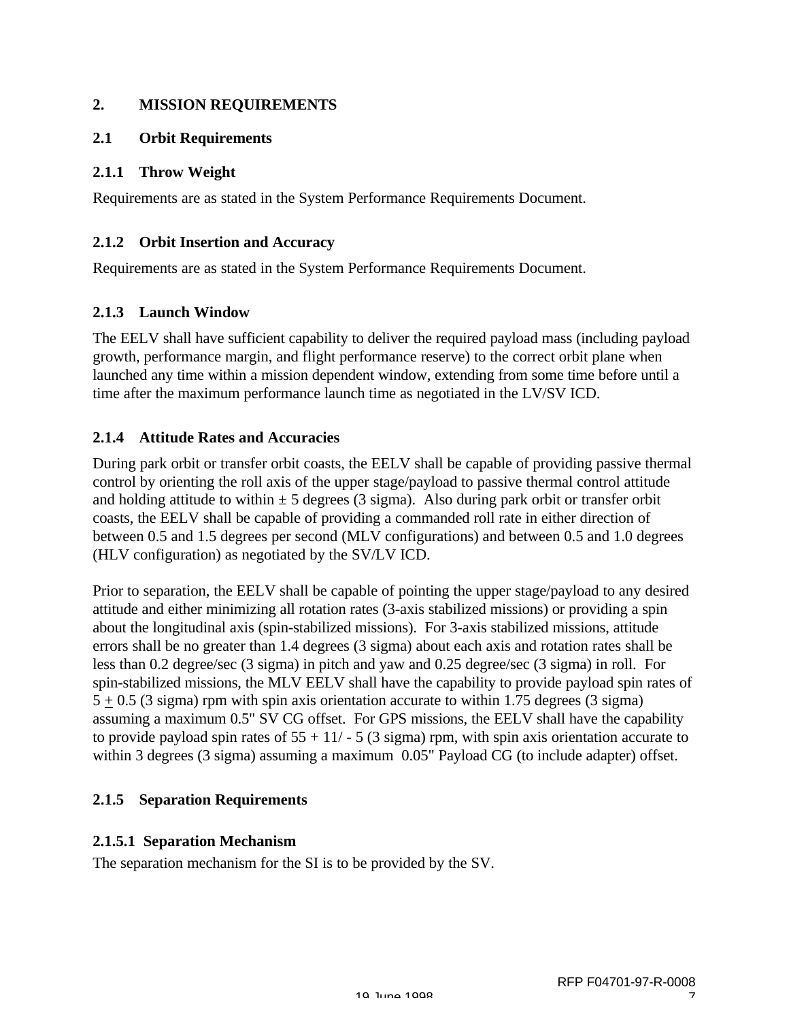#### **2. MISSION REQUIREMENTS**

#### **2.1 Orbit Requirements**

#### **2.1.1 Throw Weight**

Requirements are as stated in the System Performance Requirements Document.

#### **2.1.2 Orbit Insertion and Accuracy**

Requirements are as stated in the System Performance Requirements Document.

#### **2.1.3 Launch Window**

The EELV shall have sufficient capability to deliver the required payload mass (including payload growth, performance margin, and flight performance reserve) to the correct orbit plane when launched any time within a mission dependent window, extending from some time before until a time after the maximum performance launch time as negotiated in the LV/SV ICD.

#### **2.1.4 Attitude Rates and Accuracies**

During park orbit or transfer orbit coasts, the EELV shall be capable of providing passive thermal control by orienting the roll axis of the upper stage/payload to passive thermal control attitude and holding attitude to within  $\pm 5$  degrees (3 sigma). Also during park orbit or transfer orbit coasts, the EELV shall be capable of providing a commanded roll rate in either direction of between 0.5 and 1.5 degrees per second (MLV configurations) and between 0.5 and 1.0 degrees (HLV configuration) as negotiated by the SV/LV ICD.

Prior to separation, the EELV shall be capable of pointing the upper stage/payload to any desired attitude and either minimizing all rotation rates (3-axis stabilized missions) or providing a spin about the longitudinal axis (spin-stabilized missions). For 3-axis stabilized missions, attitude errors shall be no greater than 1.4 degrees (3 sigma) about each axis and rotation rates shall be less than 0.2 degree/sec (3 sigma) in pitch and yaw and 0.25 degree/sec (3 sigma) in roll. For spin-stabilized missions, the MLV EELV shall have the capability to provide payload spin rates of  $5 \pm 0.5$  (3 sigma) rpm with spin axis orientation accurate to within 1.75 degrees (3 sigma) assuming a maximum 0.5" SV CG offset. For GPS missions, the EELV shall have the capability to provide payload spin rates of  $55 + 11/ - 5$  (3 sigma) rpm, with spin axis orientation accurate to within 3 degrees (3 sigma) assuming a maximum 0.05" Payload CG (to include adapter) offset.

#### **2.1.5 Separation Requirements**

#### **2.1.5.1 Separation Mechanism**

The separation mechanism for the SI is to be provided by the SV.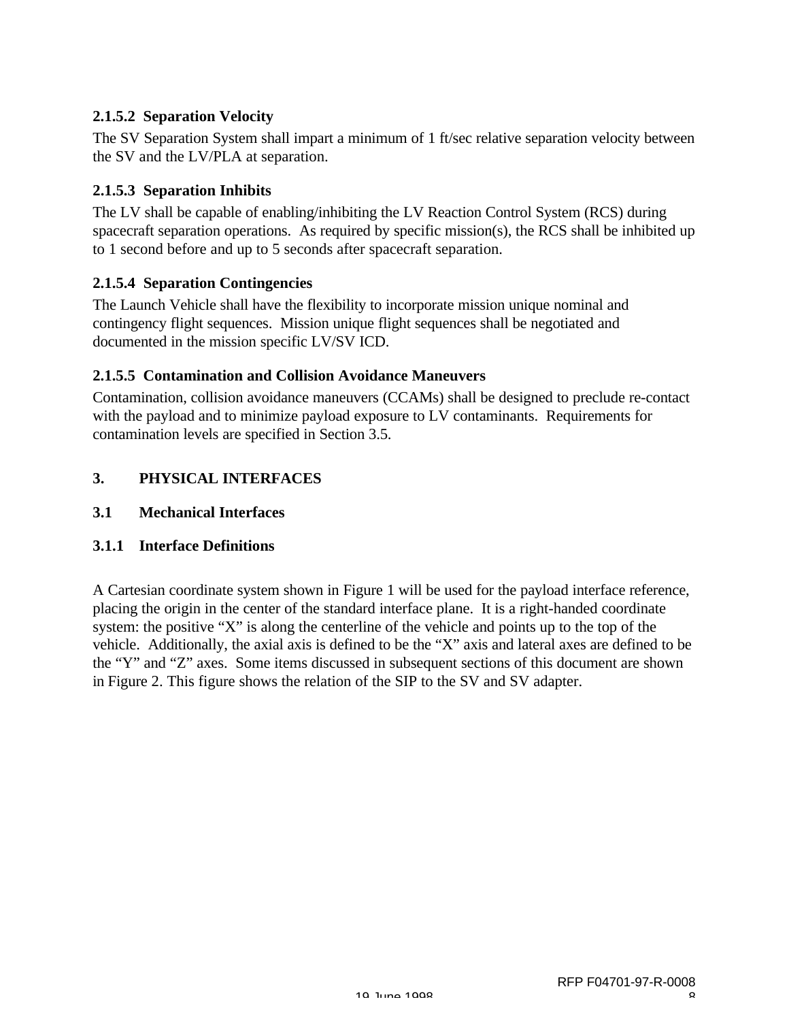## **2.1.5.2 Separation Velocity**

The SV Separation System shall impart a minimum of 1 ft/sec relative separation velocity between the SV and the LV/PLA at separation.

#### **2.1.5.3 Separation Inhibits**

The LV shall be capable of enabling/inhibiting the LV Reaction Control System (RCS) during spacecraft separation operations. As required by specific mission(s), the RCS shall be inhibited up to 1 second before and up to 5 seconds after spacecraft separation.

#### **2.1.5.4 Separation Contingencies**

The Launch Vehicle shall have the flexibility to incorporate mission unique nominal and contingency flight sequences. Mission unique flight sequences shall be negotiated and documented in the mission specific LV/SV ICD.

#### **2.1.5.5 Contamination and Collision Avoidance Maneuvers**

Contamination, collision avoidance maneuvers (CCAMs) shall be designed to preclude re-contact with the payload and to minimize payload exposure to LV contaminants. Requirements for contamination levels are specified in Section 3.5.

## **3. PHYSICAL INTERFACES**

#### **3.1 Mechanical Interfaces**

#### **3.1.1 Interface Definitions**

A Cartesian coordinate system shown in Figure 1 will be used for the payload interface reference, placing the origin in the center of the standard interface plane. It is a right-handed coordinate system: the positive "X" is along the centerline of the vehicle and points up to the top of the vehicle. Additionally, the axial axis is defined to be the "X" axis and lateral axes are defined to be the "Y" and "Z" axes. Some items discussed in subsequent sections of this document are shown in Figure 2. This figure shows the relation of the SIP to the SV and SV adapter.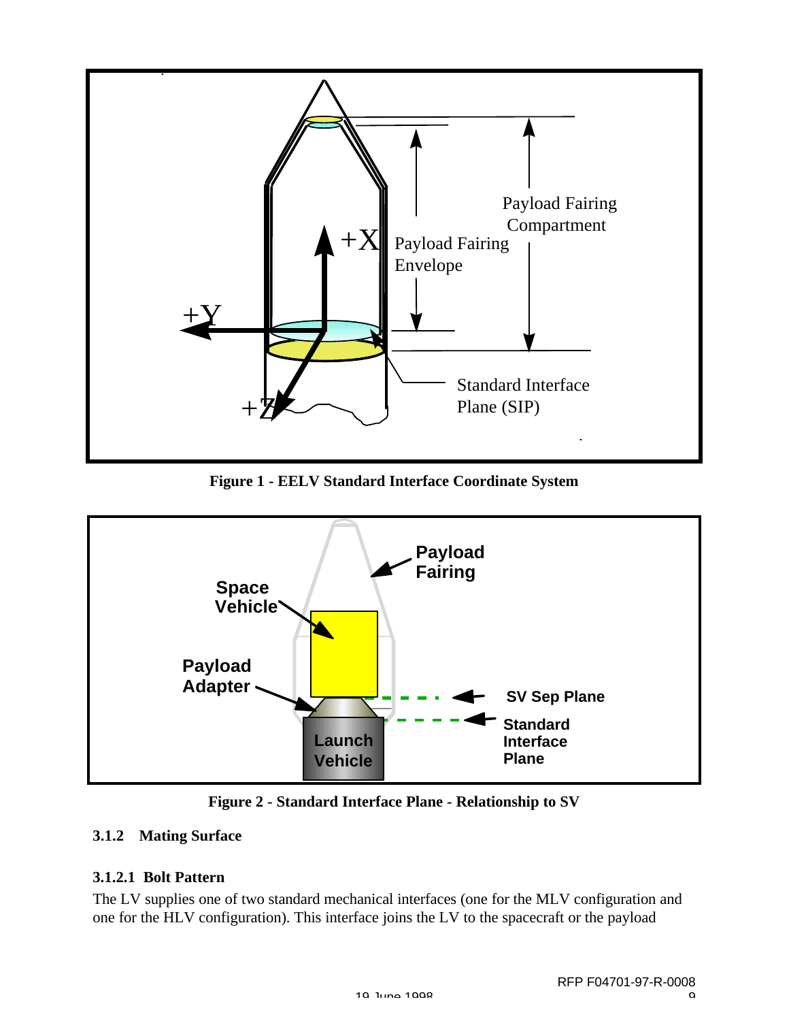

**Figure 1 - EELV Standard Interface Coordinate System**



**Figure 2 - Standard Interface Plane - Relationship to SV**

# **3.1.2 Mating Surface**

# **3.1.2.1 Bolt Pattern**

The LV supplies one of two standard mechanical interfaces (one for the MLV configuration and one for the HLV configuration). This interface joins the LV to the spacecraft or the payload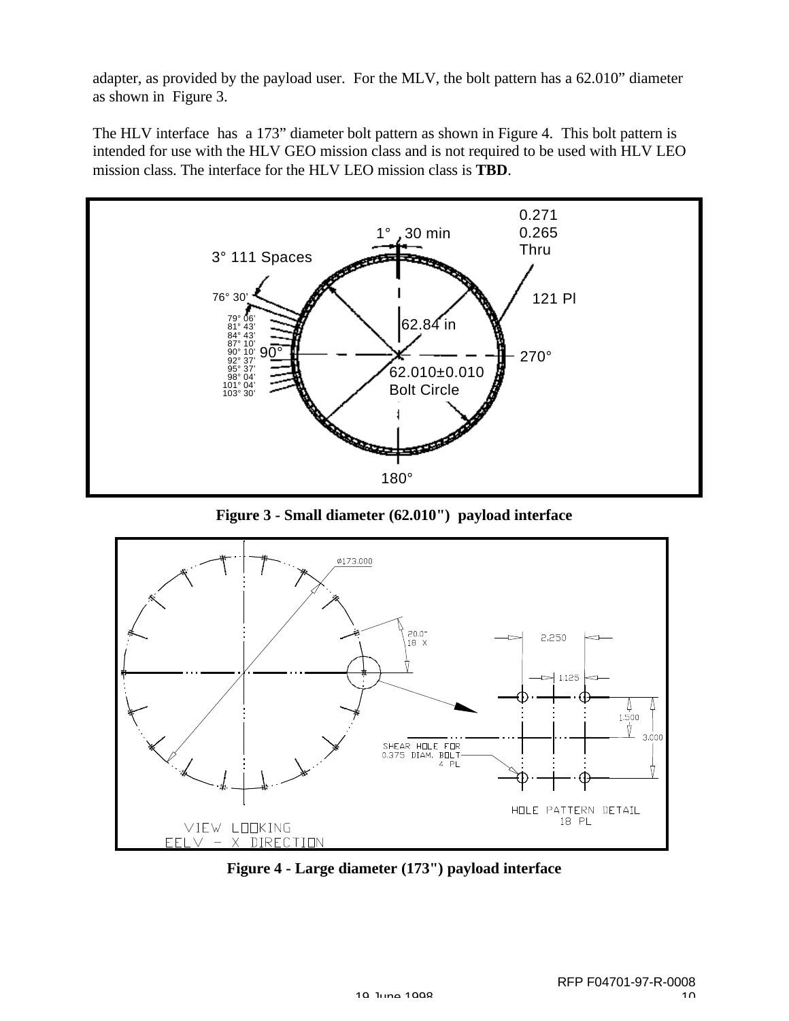adapter, as provided by the payload user. For the MLV, the bolt pattern has a 62.010" diameter as shown in Figure 3.

The HLV interface has a 173" diameter bolt pattern as shown in Figure 4. This bolt pattern is intended for use with the HLV GEO mission class and is not required to be used with HLV LEO mission class. The interface for the HLV LEO mission class is **TBD**.



**Figure 3 - Small diameter (62.010") payload interface**



**Figure 4 - Large diameter (173") payload interface**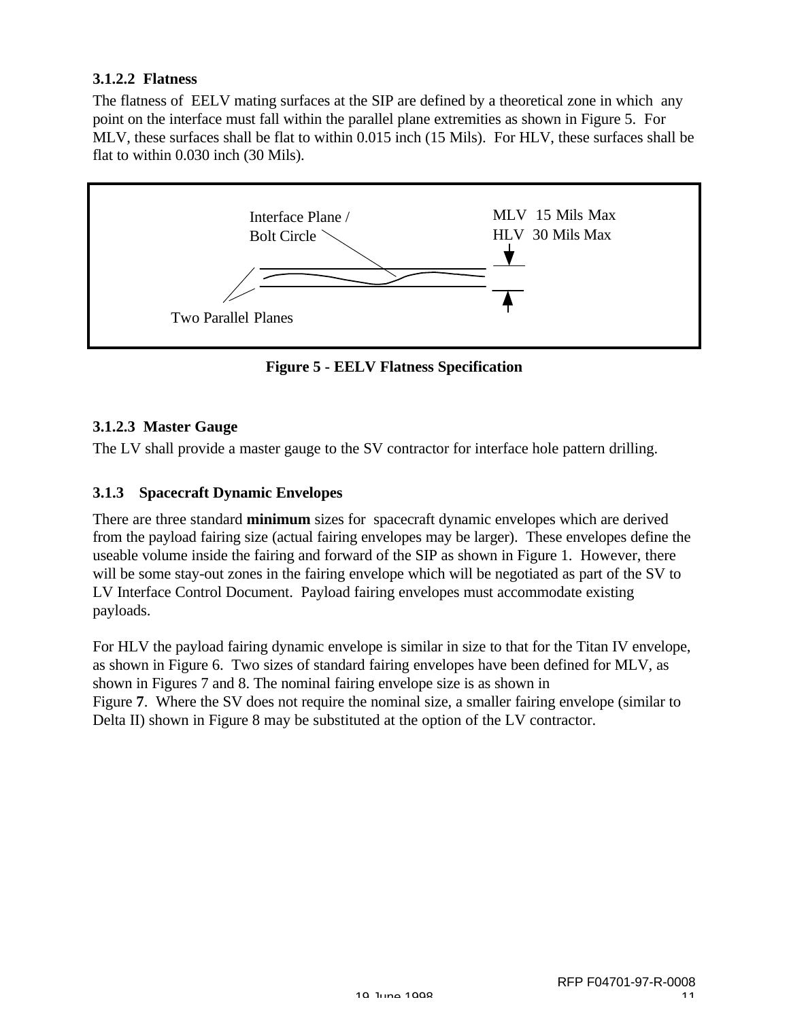## **3.1.2.2 Flatness**

The flatness of EELV mating surfaces at the SIP are defined by a theoretical zone in which any point on the interface must fall within the parallel plane extremities as shown in Figure 5. For MLV, these surfaces shall be flat to within 0.015 inch (15 Mils). For HLV, these surfaces shall be flat to within 0.030 inch (30 Mils).



**Figure 5 - EELV Flatness Specification**

## **3.1.2.3 Master Gauge**

The LV shall provide a master gauge to the SV contractor for interface hole pattern drilling.

# **3.1.3 Spacecraft Dynamic Envelopes**

There are three standard **minimum** sizes for spacecraft dynamic envelopes which are derived from the payload fairing size (actual fairing envelopes may be larger). These envelopes define the useable volume inside the fairing and forward of the SIP as shown in Figure 1. However, there will be some stay-out zones in the fairing envelope which will be negotiated as part of the SV to LV Interface Control Document. Payload fairing envelopes must accommodate existing payloads.

For HLV the payload fairing dynamic envelope is similar in size to that for the Titan IV envelope, as shown in Figure 6. Two sizes of standard fairing envelopes have been defined for MLV, as shown in Figures 7 and 8. The nominal fairing envelope size is as shown in Figure **7**. Where the SV does not require the nominal size, a smaller fairing envelope (similar to Delta II) shown in Figure 8 may be substituted at the option of the LV contractor.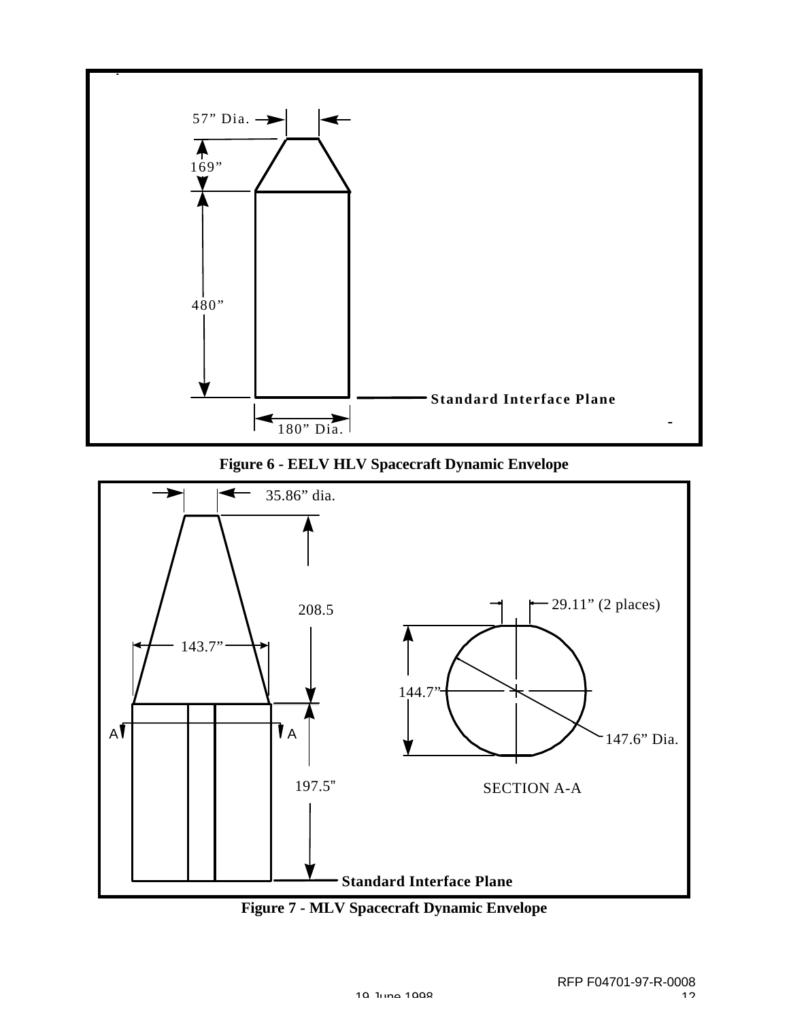





**Figure 7 - MLV Spacecraft Dynamic Envelope**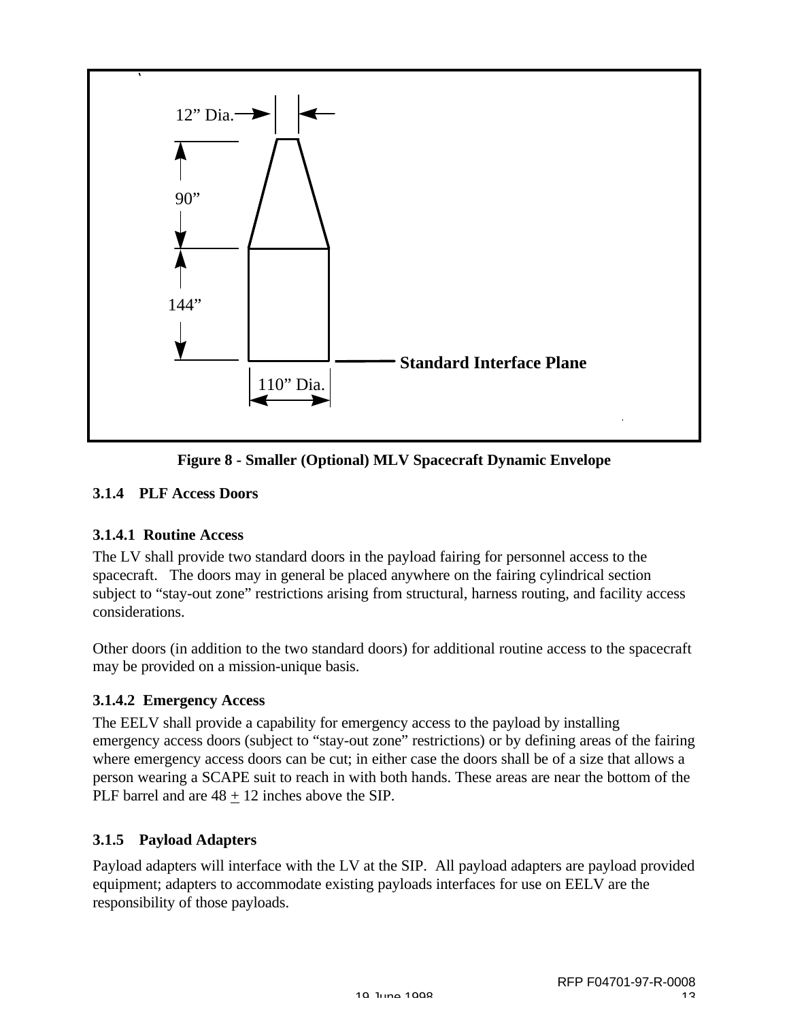

**Figure 8 - Smaller (Optional) MLV Spacecraft Dynamic Envelope**

# **3.1.4 PLF Access Doors**

# **3.1.4.1 Routine Access**

The LV shall provide two standard doors in the payload fairing for personnel access to the spacecraft. The doors may in general be placed anywhere on the fairing cylindrical section subject to "stay-out zone" restrictions arising from structural, harness routing, and facility access considerations.

Other doors (in addition to the two standard doors) for additional routine access to the spacecraft may be provided on a mission-unique basis.

# **3.1.4.2 Emergency Access**

The EELV shall provide a capability for emergency access to the payload by installing emergency access doors (subject to "stay-out zone" restrictions) or by defining areas of the fairing where emergency access doors can be cut; in either case the doors shall be of a size that allows a person wearing a SCAPE suit to reach in with both hands. These areas are near the bottom of the PLF barrel and are 48 + 12 inches above the SIP.

# **3.1.5 Payload Adapters**

Payload adapters will interface with the LV at the SIP. All payload adapters are payload provided equipment; adapters to accommodate existing payloads interfaces for use on EELV are the responsibility of those payloads.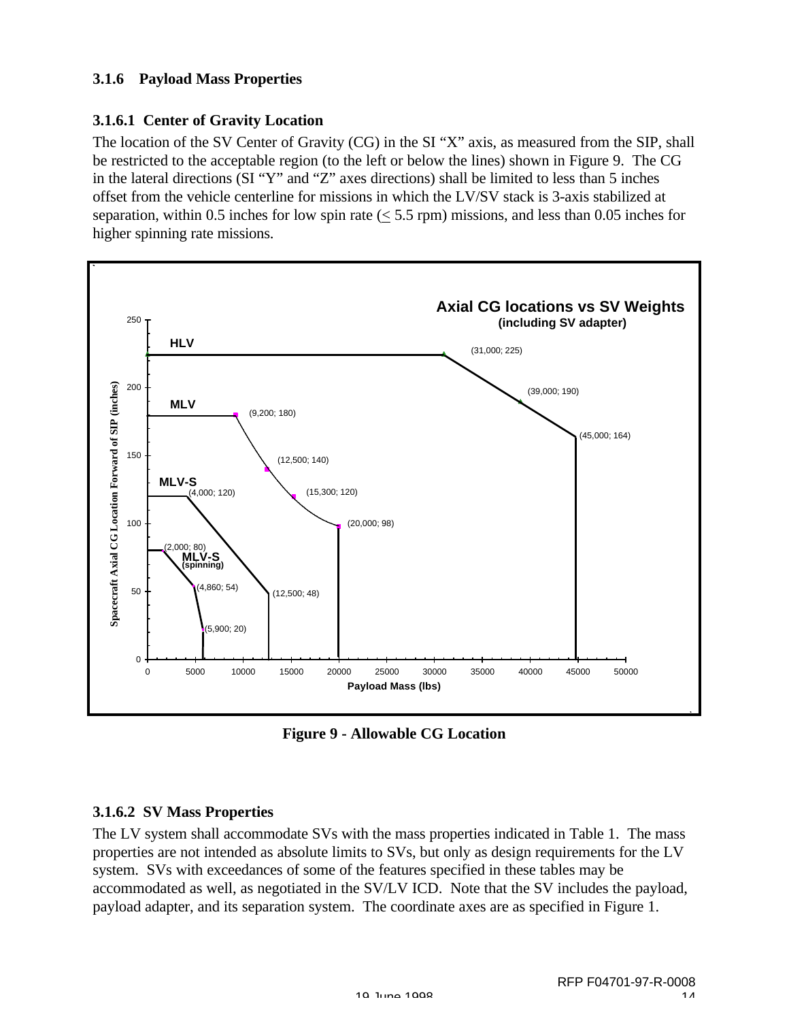## **3.1.6 Payload Mass Properties**

# **3.1.6.1 Center of Gravity Location**

The location of the SV Center of Gravity (CG) in the SI "X" axis, as measured from the SIP, shall be restricted to the acceptable region (to the left or below the lines) shown in Figure 9. The CG in the lateral directions (SI "Y" and "Z" axes directions) shall be limited to less than 5 inches offset from the vehicle centerline for missions in which the LV/SV stack is 3-axis stabilized at separation, within 0.5 inches for low spin rate  $(< 5.5$  rpm) missions, and less than 0.05 inches for higher spinning rate missions.



**Figure 9 - Allowable CG Location**

#### **3.1.6.2 SV Mass Properties**

The LV system shall accommodate SVs with the mass properties indicated in Table 1. The mass properties are not intended as absolute limits to SVs, but only as design requirements for the LV system. SVs with exceedances of some of the features specified in these tables may be accommodated as well, as negotiated in the SV/LV ICD. Note that the SV includes the payload, payload adapter, and its separation system. The coordinate axes are as specified in Figure 1.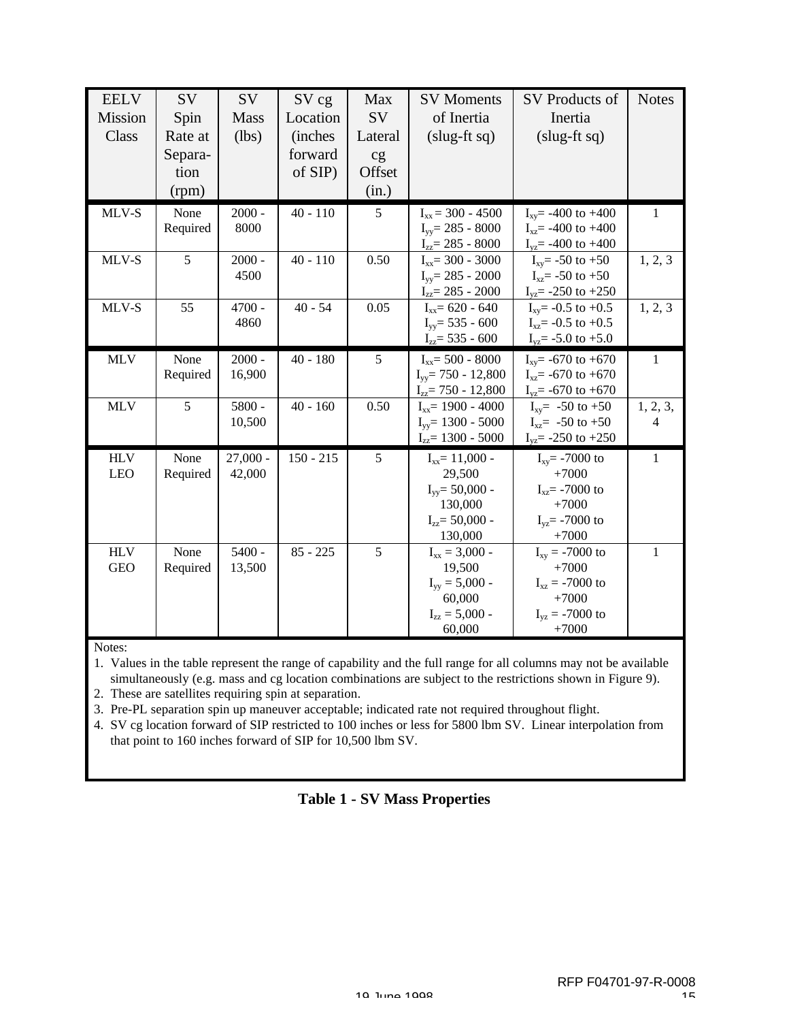| <b>EELV</b>    | SV       | SV         | SV cg           | Max     | <b>SV Moments</b>                                  | SV Products of                                     | <b>Notes</b>   |
|----------------|----------|------------|-----------------|---------|----------------------------------------------------|----------------------------------------------------|----------------|
| <b>Mission</b> | Spin     | Mass       | Location        | SV      | of Inertia                                         | Inertia                                            |                |
| Class          | Rate at  | (lbs)      | <i>(inches)</i> | Lateral | $slug-ft sq)$                                      | $slug-ft sq)$                                      |                |
|                | Separa-  |            | forward         | cg      |                                                    |                                                    |                |
|                | tion     |            | of SIP)         | Offset  |                                                    |                                                    |                |
|                | (rpm)    |            |                 | (in.)   |                                                    |                                                    |                |
|                |          |            |                 |         |                                                    |                                                    |                |
| MLV-S          | None     | $2000 -$   | $40 - 110$      | 5       | $I_{xx} = 300 - 4500$                              | $I_{xy}$ = -400 to +400                            | 1              |
|                | Required | 8000       |                 |         | $I_{\rm vv}$ = 285 - 8000<br>$I_{zz} = 285 - 8000$ | $I_{xz}$ = -400 to +400<br>$I_{yz}$ = -400 to +400 |                |
| MLV-S          | 5        | $2000 -$   | $40 - 110$      | 0.50    | $I_{xx} = 300 - 3000$                              | $I_{xy} = -50$ to $+50$                            | 1, 2, 3        |
|                |          | 4500       |                 |         | $I_{vv}$ = 285 - 2000                              | $I_{xz}$ = -50 to +50                              |                |
|                |          |            |                 |         | $I_{zz}$ = 285 - 2000                              | $I_{yz}$ = -250 to +250                            |                |
| MLV-S          | 55       | $4700 -$   | $40 - 54$       | 0.05    | $I_{xx} = 620 - 640$                               | $I_{xy}$ = -0.5 to +0.5                            | 1, 2, 3        |
|                |          | 4860       |                 |         | $I_{vv} = 535 - 600$                               | $I_{xz}$ = -0.5 to +0.5                            |                |
|                |          |            |                 |         | $I_{zz}$ = 535 - 600                               | $I_{yz}$ = -5.0 to +5.0                            |                |
| <b>MLV</b>     | None     | $2000 -$   | $40 - 180$      | 5       | $I_{xx} = 500 - 8000$                              | $I_{xy}$ = -670 to +670                            | $\mathbf{1}$   |
|                | Required | 16,900     |                 |         | $I_{vv}$ = 750 - 12,800                            | $I_{xz}$ = -670 to +670                            |                |
|                |          |            |                 |         | $I_{zz}$ = 750 - 12,800                            | $I_{vz}$ = -670 to +670                            |                |
| <b>MLV</b>     | 5        | $5800 -$   | $40 - 160$      | 0.50    | $I_{xx}$ = 1900 - 4000                             | $I_{xy} = -50$ to $+50$                            | 1, 2, 3,       |
|                |          | 10,500     |                 |         | $I_{yy}$ = 1300 - 5000                             | $I_{xz}$ -50 to +50                                | $\overline{4}$ |
|                |          |            |                 |         | $I_{zz}$ = 1300 - 5000                             | $I_{yz}$ -250 to +250                              |                |
| <b>HLV</b>     | None     | $27,000 -$ | $150 - 215$     | 5       | $I_{xx} = 11,000 -$                                | $I_{xy}$ = -7000 to                                | $\mathbf{1}$   |
| <b>LEO</b>     | Required | 42,000     |                 |         | 29,500                                             | $+7000$                                            |                |
|                |          |            |                 |         | $I_{yy} = 50,000 -$                                | $I_{xz}$ = -7000 to                                |                |
|                |          |            |                 |         | 130,000                                            | $+7000$                                            |                |
|                |          |            |                 |         | $I_{zz} = 50,000 -$                                | $I_{vz}$ = -7000 to                                |                |
| <b>HLV</b>     | None     | $5400 -$   | $85 - 225$      | 5       | 130,000<br>$I_{xx} = 3,000 -$                      | $+7000$<br>$I_{xy} = -7000$ to                     | $\mathbf{1}$   |
| <b>GEO</b>     | Required | 13,500     |                 |         | 19,500                                             | $+7000$                                            |                |
|                |          |            |                 |         | $I_{yy} = 5,000 -$                                 | $I_{xz} = -7000$ to                                |                |
|                |          |            |                 |         | 60,000                                             | $+7000$                                            |                |
|                |          |            |                 |         | $I_{zz} = 5,000 -$                                 | $I_{yz} = -7000$ to                                |                |
|                |          |            |                 |         | 60,000                                             | $+7000$                                            |                |

Notes:

1. Values in the table represent the range of capability and the full range for all columns may not be available simultaneously (e.g. mass and cg location combinations are subject to the restrictions shown in Figure 9).

2. These are satellites requiring spin at separation.

3. Pre-PL separation spin up maneuver acceptable; indicated rate not required throughout flight.

4. SV cg location forward of SIP restricted to 100 inches or less for 5800 lbm SV. Linear interpolation from that point to 160 inches forward of SIP for 10,500 lbm SV.

#### **Table 1 - SV Mass Properties**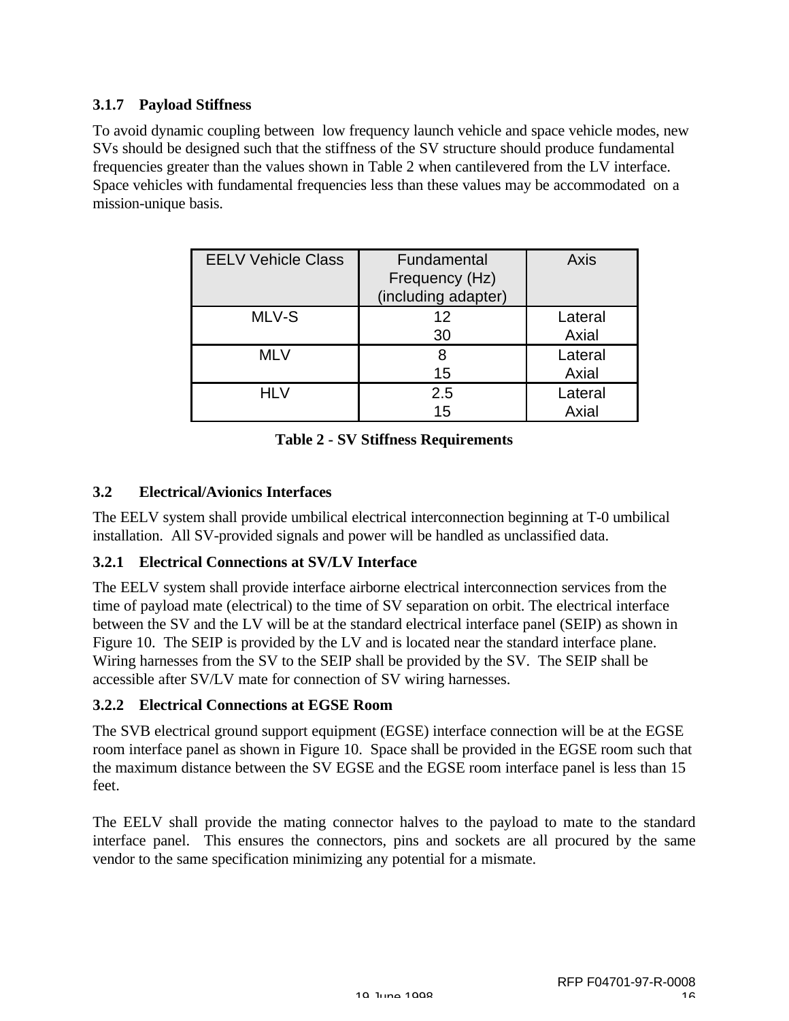## **3.1.7 Payload Stiffness**

To avoid dynamic coupling between low frequency launch vehicle and space vehicle modes, new SVs should be designed such that the stiffness of the SV structure should produce fundamental frequencies greater than the values shown in Table 2 when cantilevered from the LV interface. Space vehicles with fundamental frequencies less than these values may be accommodated on a mission-unique basis.

| <b>EELV Vehicle Class</b> | Fundamental<br>Frequency (Hz)<br>(including adapter) | <b>Axis</b>      |
|---------------------------|------------------------------------------------------|------------------|
| MLV-S                     | 12<br>30                                             | Lateral<br>Axial |
| <b>MLV</b>                | 8<br>15                                              | Lateral<br>Axial |
| <b>HLV</b>                | 2.5<br>15                                            | Lateral<br>Axial |

**Table 2 - SV Stiffness Requirements**

# **3.2 Electrical/Avionics Interfaces**

The EELV system shall provide umbilical electrical interconnection beginning at T-0 umbilical installation. All SV-provided signals and power will be handled as unclassified data.

# **3.2.1 Electrical Connections at SV/LV Interface**

The EELV system shall provide interface airborne electrical interconnection services from the time of payload mate (electrical) to the time of SV separation on orbit. The electrical interface between the SV and the LV will be at the standard electrical interface panel (SEIP) as shown in Figure 10. The SEIP is provided by the LV and is located near the standard interface plane. Wiring harnesses from the SV to the SEIP shall be provided by the SV. The SEIP shall be accessible after SV/LV mate for connection of SV wiring harnesses.

#### **3.2.2 Electrical Connections at EGSE Room**

The SVB electrical ground support equipment (EGSE) interface connection will be at the EGSE room interface panel as shown in Figure 10. Space shall be provided in the EGSE room such that the maximum distance between the SV EGSE and the EGSE room interface panel is less than 15 feet.

The EELV shall provide the mating connector halves to the payload to mate to the standard interface panel. This ensures the connectors, pins and sockets are all procured by the same vendor to the same specification minimizing any potential for a mismate.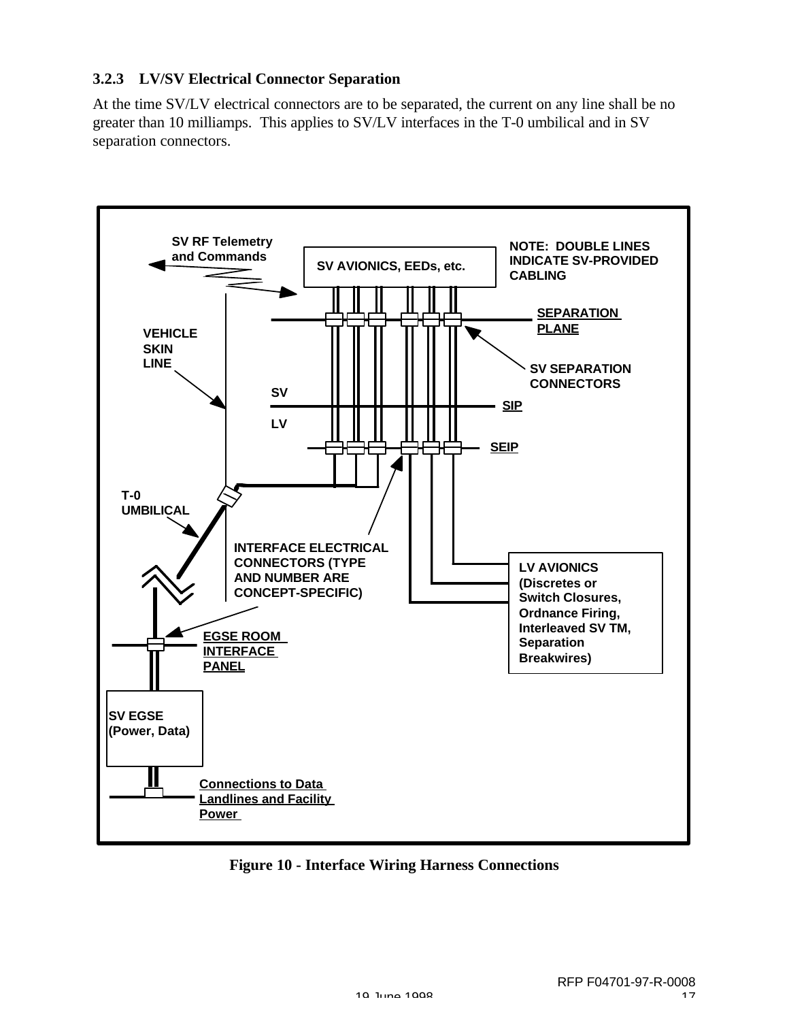#### **3.2.3 LV/SV Electrical Connector Separation**

At the time SV/LV electrical connectors are to be separated, the current on any line shall be no greater than 10 milliamps. This applies to SV/LV interfaces in the T-0 umbilical and in SV separation connectors.



**Figure 10 - Interface Wiring Harness Connections**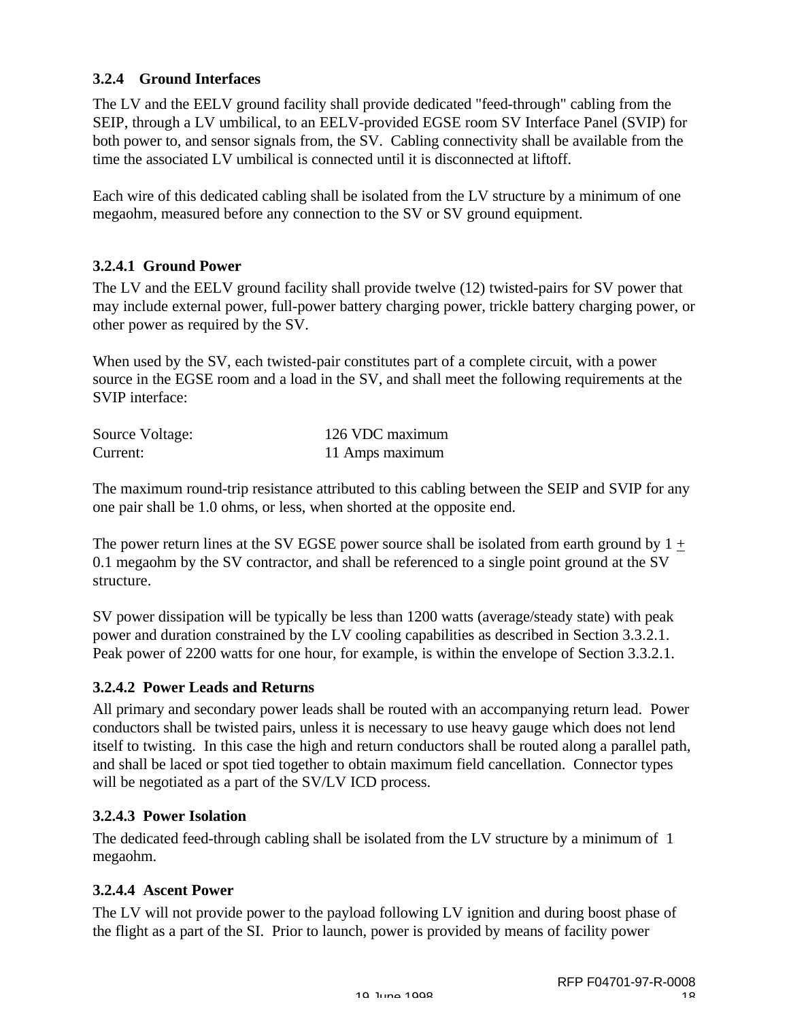## **3.2.4 Ground Interfaces**

The LV and the EELV ground facility shall provide dedicated "feed-through" cabling from the SEIP, through a LV umbilical, to an EELV-provided EGSE room SV Interface Panel (SVIP) for both power to, and sensor signals from, the SV. Cabling connectivity shall be available from the time the associated LV umbilical is connected until it is disconnected at liftoff.

Each wire of this dedicated cabling shall be isolated from the LV structure by a minimum of one megaohm, measured before any connection to the SV or SV ground equipment.

# **3.2.4.1 Ground Power**

The LV and the EELV ground facility shall provide twelve (12) twisted-pairs for SV power that may include external power, full-power battery charging power, trickle battery charging power, or other power as required by the SV.

When used by the SV, each twisted-pair constitutes part of a complete circuit, with a power source in the EGSE room and a load in the SV, and shall meet the following requirements at the SVIP interface:

| Source Voltage: | 126 VDC maximum |
|-----------------|-----------------|
| Current:        | 11 Amps maximum |

The maximum round-trip resistance attributed to this cabling between the SEIP and SVIP for any one pair shall be 1.0 ohms, or less, when shorted at the opposite end.

The power return lines at the SV EGSE power source shall be isolated from earth ground by  $1 \pm$ 0.1 megaohm by the SV contractor, and shall be referenced to a single point ground at the SV structure.

SV power dissipation will be typically be less than 1200 watts (average/steady state) with peak power and duration constrained by the LV cooling capabilities as described in Section 3.3.2.1. Peak power of 2200 watts for one hour, for example, is within the envelope of Section 3.3.2.1.

#### **3.2.4.2 Power Leads and Returns**

All primary and secondary power leads shall be routed with an accompanying return lead. Power conductors shall be twisted pairs, unless it is necessary to use heavy gauge which does not lend itself to twisting. In this case the high and return conductors shall be routed along a parallel path, and shall be laced or spot tied together to obtain maximum field cancellation. Connector types will be negotiated as a part of the SV/LV ICD process.

#### **3.2.4.3 Power Isolation**

The dedicated feed-through cabling shall be isolated from the LV structure by a minimum of 1 megaohm.

#### **3.2.4.4 Ascent Power**

The LV will not provide power to the payload following LV ignition and during boost phase of the flight as a part of the SI. Prior to launch, power is provided by means of facility power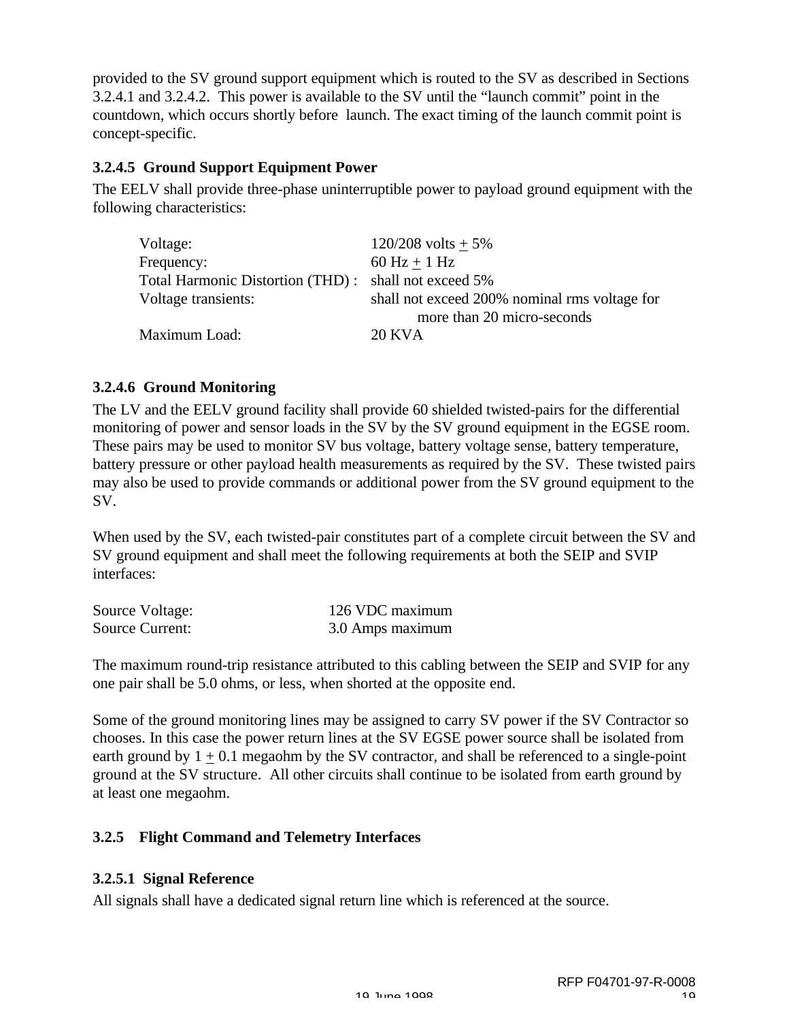provided to the SV ground support equipment which is routed to the SV as described in Sections 3.2.4.1 and 3.2.4.2. This power is available to the SV until the "launch commit" point in the countdown, which occurs shortly before launch. The exact timing of the launch commit point is concept-specific.

#### **3.2.4.5 Ground Support Equipment Power**

The EELV shall provide three-phase uninterruptible power to payload ground equipment with the following characteristics:

| Voltage:                                             | $120/208$ volts + 5%                          |
|------------------------------------------------------|-----------------------------------------------|
| Frequency:                                           | $60 \text{ Hz} + 1 \text{ Hz}$                |
| Total Harmonic Distortion (THD): shall not exceed 5% |                                               |
| Voltage transients:                                  | shall not exceed 200% nominal rms voltage for |
|                                                      | more than 20 micro-seconds                    |
| Maximum Load:                                        | <b>20 KVA</b>                                 |

## **3.2.4.6 Ground Monitoring**

The LV and the EELV ground facility shall provide 60 shielded twisted-pairs for the differential monitoring of power and sensor loads in the SV by the SV ground equipment in the EGSE room. These pairs may be used to monitor SV bus voltage, battery voltage sense, battery temperature, battery pressure or other payload health measurements as required by the SV. These twisted pairs may also be used to provide commands or additional power from the SV ground equipment to the SV.

When used by the SV, each twisted-pair constitutes part of a complete circuit between the SV and SV ground equipment and shall meet the following requirements at both the SEIP and SVIP interfaces:

| Source Voltage: | 126 VDC maximum  |
|-----------------|------------------|
| Source Current: | 3.0 Amps maximum |

The maximum round-trip resistance attributed to this cabling between the SEIP and SVIP for any one pair shall be 5.0 ohms, or less, when shorted at the opposite end.

Some of the ground monitoring lines may be assigned to carry SV power if the SV Contractor so chooses. In this case the power return lines at the SV EGSE power source shall be isolated from earth ground by  $1 + 0.1$  megaohm by the SV contractor, and shall be referenced to a single-point ground at the SV structure. All other circuits shall continue to be isolated from earth ground by at least one megaohm.

# **3.2.5 Flight Command and Telemetry Interfaces**

#### **3.2.5.1 Signal Reference**

All signals shall have a dedicated signal return line which is referenced at the source.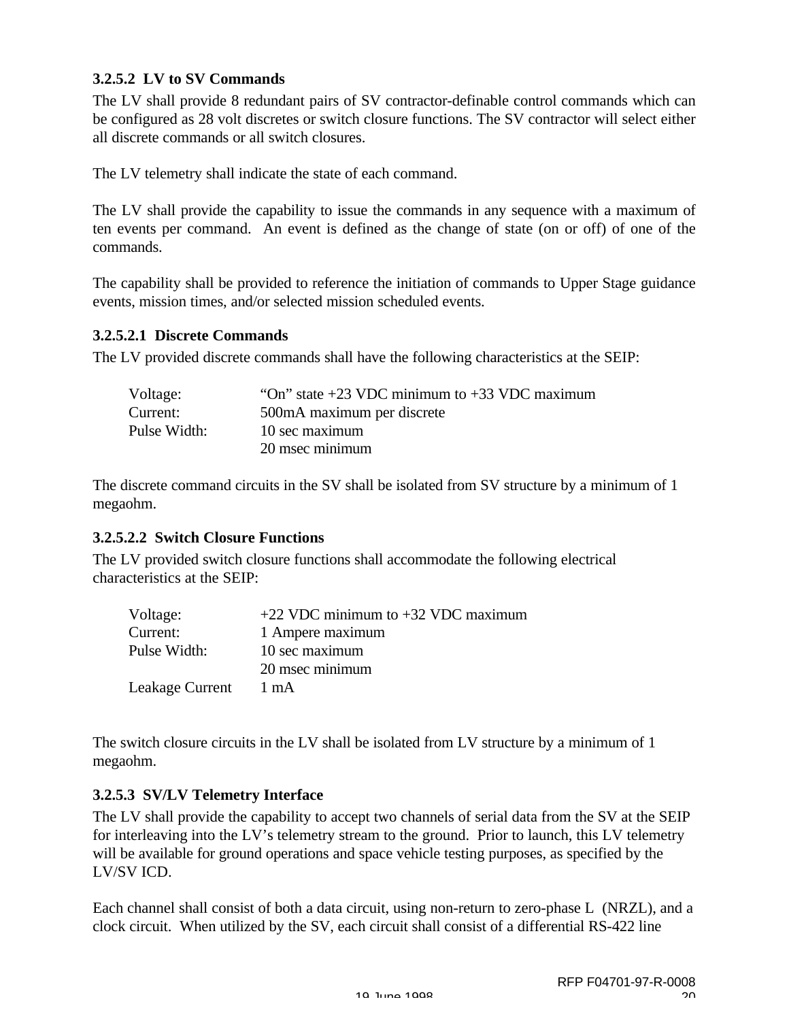#### **3.2.5.2 LV to SV Commands**

The LV shall provide 8 redundant pairs of SV contractor-definable control commands which can be configured as 28 volt discretes or switch closure functions. The SV contractor will select either all discrete commands or all switch closures.

The LV telemetry shall indicate the state of each command.

The LV shall provide the capability to issue the commands in any sequence with a maximum of ten events per command. An event is defined as the change of state (on or off) of one of the commands.

The capability shall be provided to reference the initiation of commands to Upper Stage guidance events, mission times, and/or selected mission scheduled events.

#### **3.2.5.2.1 Discrete Commands**

The LV provided discrete commands shall have the following characteristics at the SEIP:

| Voltage:     | "On" state $+23$ VDC minimum to $+33$ VDC maximum |
|--------------|---------------------------------------------------|
| Current:     | 500 mA maximum per discrete                       |
| Pulse Width: | 10 sec maximum                                    |
|              | 20 msec minimum                                   |

The discrete command circuits in the SV shall be isolated from SV structure by a minimum of 1 megaohm.

#### **3.2.5.2.2 Switch Closure Functions**

The LV provided switch closure functions shall accommodate the following electrical characteristics at the SEIP:

| Voltage:        | $+22$ VDC minimum to $+32$ VDC maximum |
|-----------------|----------------------------------------|
| Current:        | 1 Ampere maximum                       |
| Pulse Width:    | 10 sec maximum                         |
|                 | 20 msec minimum                        |
| Leakage Current | $1 \text{ mA}$                         |

The switch closure circuits in the LV shall be isolated from LV structure by a minimum of 1 megaohm.

#### **3.2.5.3 SV/LV Telemetry Interface**

The LV shall provide the capability to accept two channels of serial data from the SV at the SEIP for interleaving into the LV's telemetry stream to the ground. Prior to launch, this LV telemetry will be available for ground operations and space vehicle testing purposes, as specified by the LV/SV ICD.

Each channel shall consist of both a data circuit, using non-return to zero-phase L (NRZL), and a clock circuit. When utilized by the SV, each circuit shall consist of a differential RS-422 line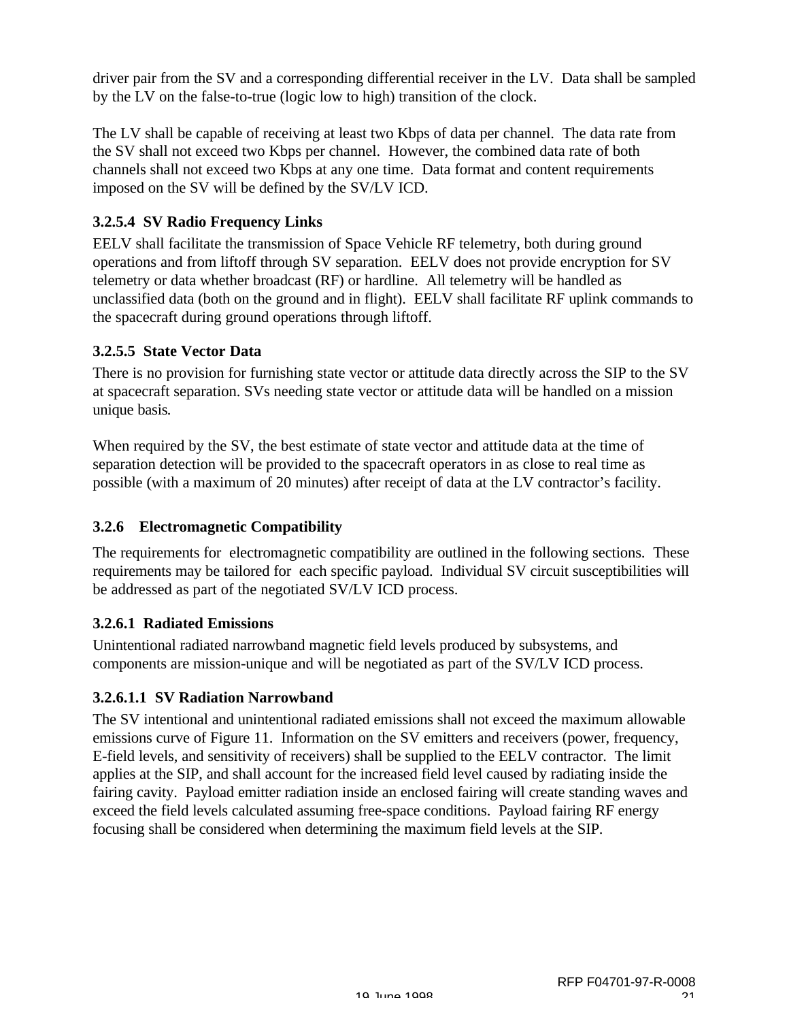driver pair from the SV and a corresponding differential receiver in the LV. Data shall be sampled by the LV on the false-to-true (logic low to high) transition of the clock.

The LV shall be capable of receiving at least two Kbps of data per channel. The data rate from the SV shall not exceed two Kbps per channel. However, the combined data rate of both channels shall not exceed two Kbps at any one time. Data format and content requirements imposed on the SV will be defined by the SV/LV ICD.

## **3.2.5.4 SV Radio Frequency Links**

EELV shall facilitate the transmission of Space Vehicle RF telemetry, both during ground operations and from liftoff through SV separation. EELV does not provide encryption for SV telemetry or data whether broadcast (RF) or hardline. All telemetry will be handled as unclassified data (both on the ground and in flight). EELV shall facilitate RF uplink commands to the spacecraft during ground operations through liftoff.

#### **3.2.5.5 State Vector Data**

There is no provision for furnishing state vector or attitude data directly across the SIP to the SV at spacecraft separation. SVs needing state vector or attitude data will be handled on a mission unique basis*.*

When required by the SV, the best estimate of state vector and attitude data at the time of separation detection will be provided to the spacecraft operators in as close to real time as possible (with a maximum of 20 minutes) after receipt of data at the LV contractor's facility.

#### **3.2.6 Electromagnetic Compatibility**

The requirements for electromagnetic compatibility are outlined in the following sections. These requirements may be tailored for each specific payload. Individual SV circuit susceptibilities will be addressed as part of the negotiated SV/LV ICD process.

#### **3.2.6.1 Radiated Emissions**

Unintentional radiated narrowband magnetic field levels produced by subsystems, and components are mission-unique and will be negotiated as part of the SV/LV ICD process.

#### **3.2.6.1.1 SV Radiation Narrowband**

The SV intentional and unintentional radiated emissions shall not exceed the maximum allowable emissions curve of Figure 11. Information on the SV emitters and receivers (power, frequency, E-field levels, and sensitivity of receivers) shall be supplied to the EELV contractor. The limit applies at the SIP, and shall account for the increased field level caused by radiating inside the fairing cavity. Payload emitter radiation inside an enclosed fairing will create standing waves and exceed the field levels calculated assuming free-space conditions. Payload fairing RF energy focusing shall be considered when determining the maximum field levels at the SIP.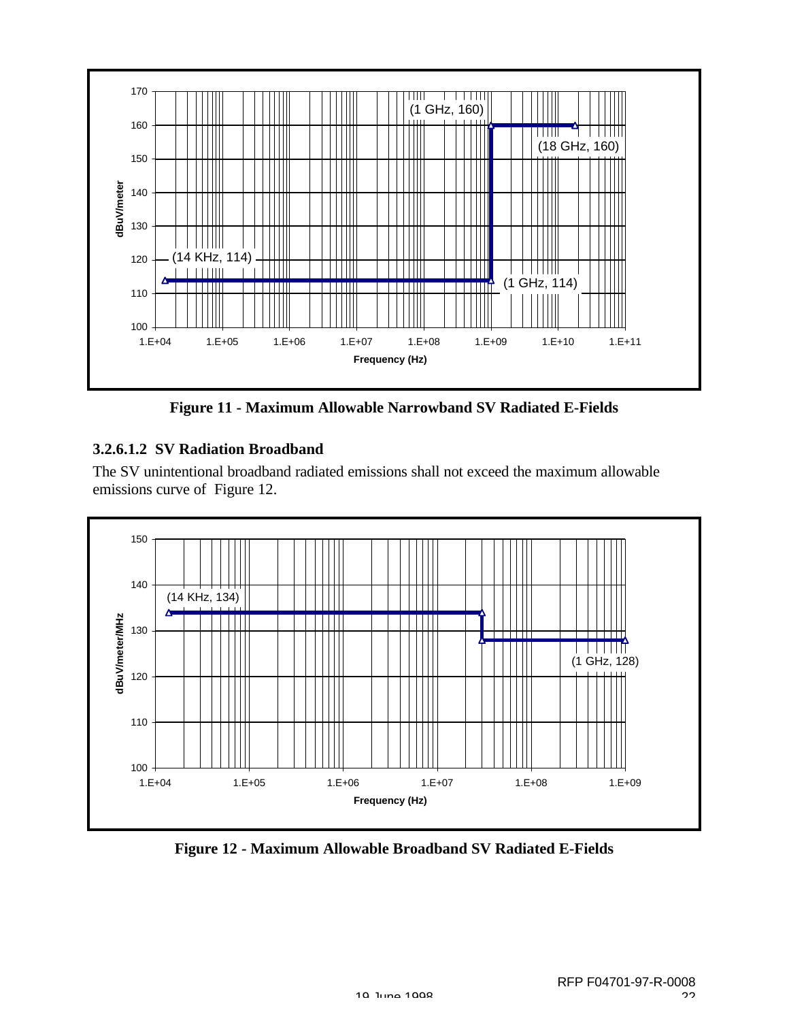

**Figure 11 - Maximum Allowable Narrowband SV Radiated E-Fields**

# **3.2.6.1.2 SV Radiation Broadband**

The SV unintentional broadband radiated emissions shall not exceed the maximum allowable emissions curve of Figure 12.



**Figure 12 - Maximum Allowable Broadband SV Radiated E-Fields**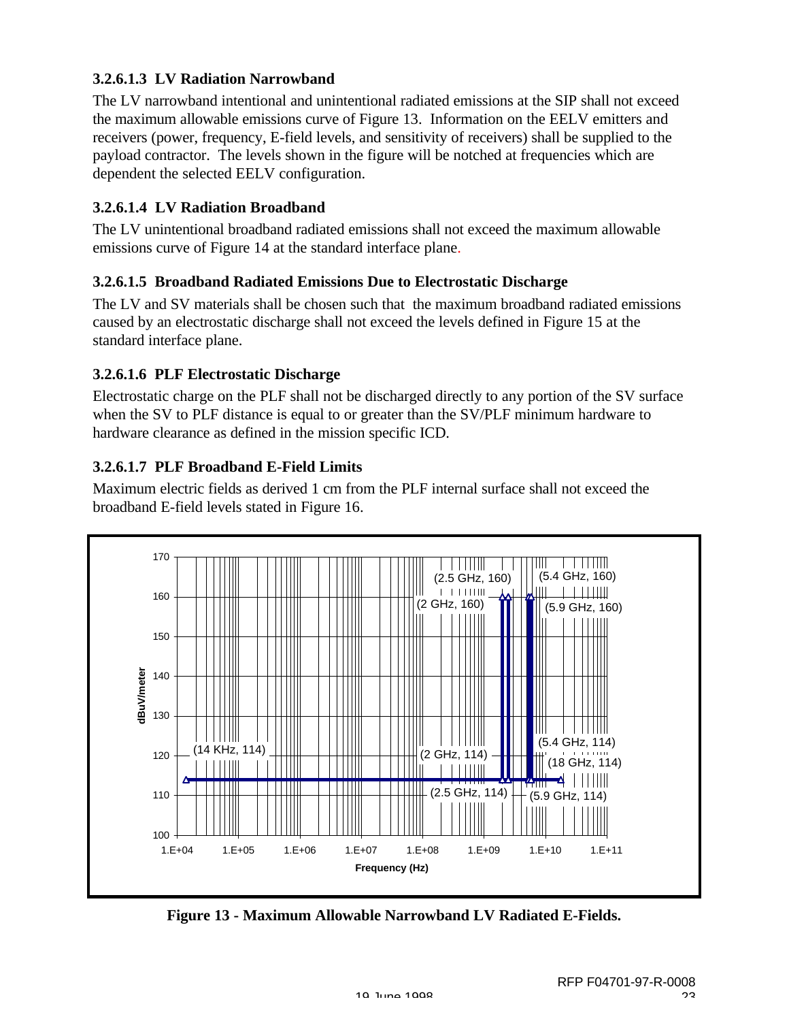# **3.2.6.1.3 LV Radiation Narrowband**

The LV narrowband intentional and unintentional radiated emissions at the SIP shall not exceed the maximum allowable emissions curve of Figure 13. Information on the EELV emitters and receivers (power, frequency, E-field levels, and sensitivity of receivers) shall be supplied to the payload contractor. The levels shown in the figure will be notched at frequencies which are dependent the selected EELV configuration.

## **3.2.6.1.4 LV Radiation Broadband**

The LV unintentional broadband radiated emissions shall not exceed the maximum allowable emissions curve of Figure 14 at the standard interface plane.

#### **3.2.6.1.5 Broadband Radiated Emissions Due to Electrostatic Discharge**

The LV and SV materials shall be chosen such that the maximum broadband radiated emissions caused by an electrostatic discharge shall not exceed the levels defined in Figure 15 at the standard interface plane.

## **3.2.6.1.6 PLF Electrostatic Discharge**

Electrostatic charge on the PLF shall not be discharged directly to any portion of the SV surface when the SV to PLF distance is equal to or greater than the SV/PLF minimum hardware to hardware clearance as defined in the mission specific ICD.

## **3.2.6.1.7 PLF Broadband E-Field Limits**

Maximum electric fields as derived 1 cm from the PLF internal surface shall not exceed the broadband E-field levels stated in Figure 16.



**Figure 13 - Maximum Allowable Narrowband LV Radiated E-Fields.**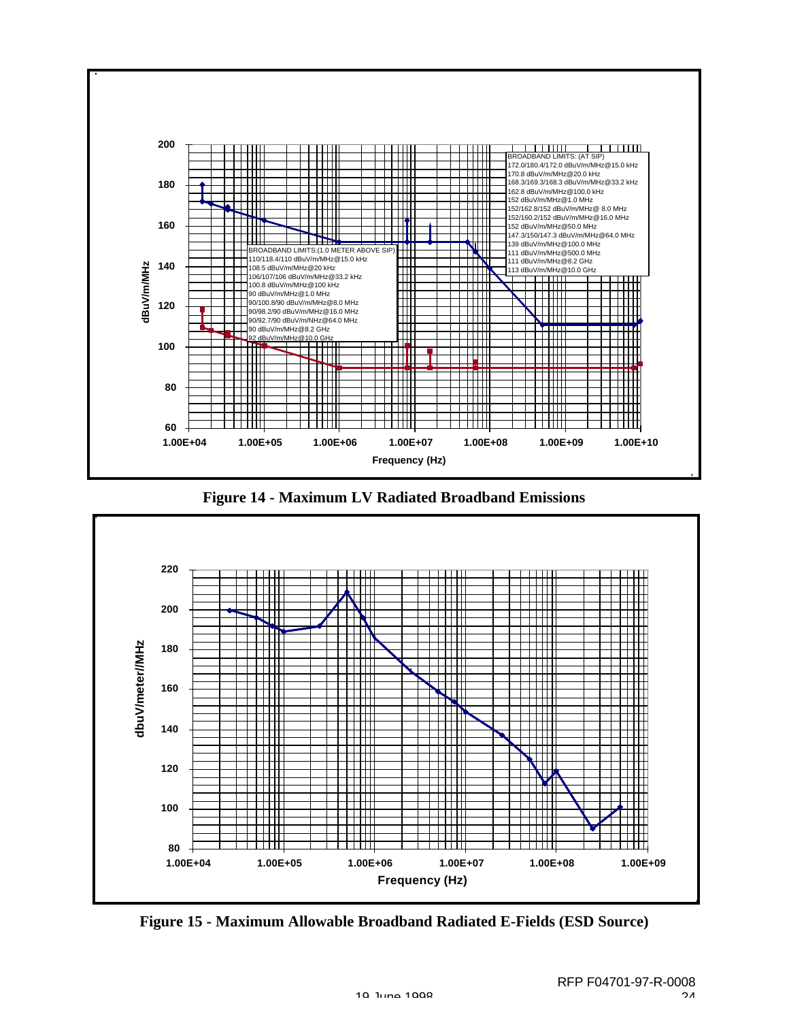

**Figure 14 - Maximum LV Radiated Broadband Emissions**



**Figure 15 - Maximum Allowable Broadband Radiated E-Fields (ESD Source)**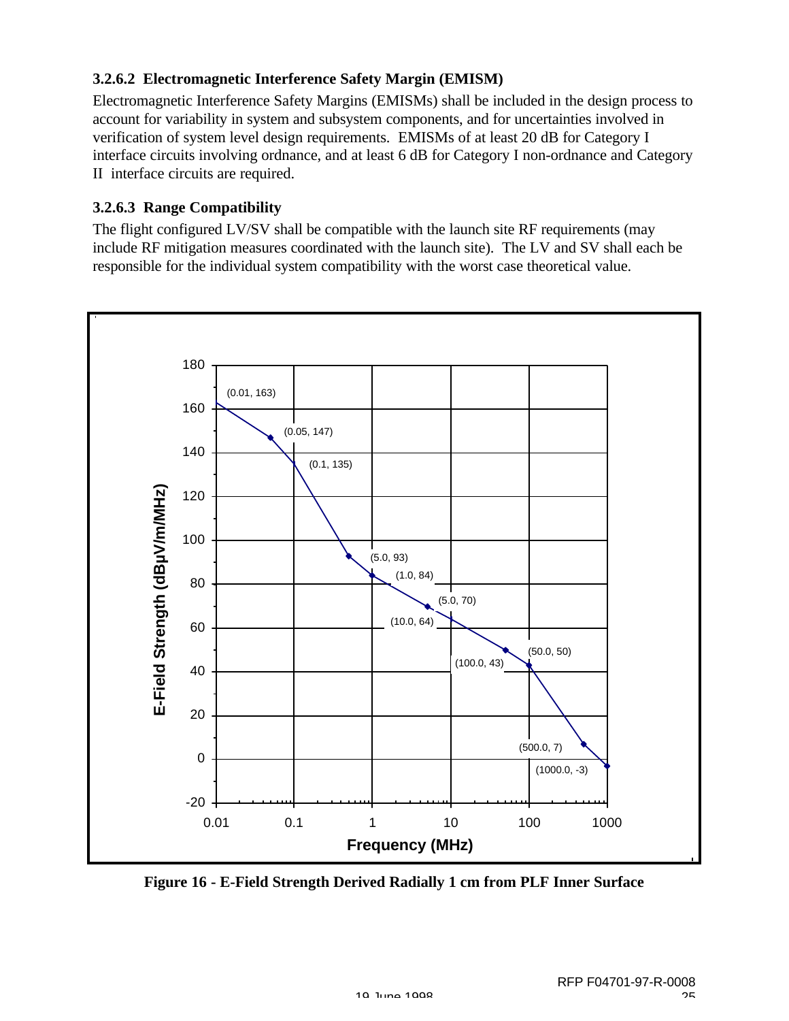# **3.2.6.2 Electromagnetic Interference Safety Margin (EMISM)**

Electromagnetic Interference Safety Margins (EMISMs) shall be included in the design process to account for variability in system and subsystem components, and for uncertainties involved in verification of system level design requirements. EMISMs of at least 20 dB for Category I interface circuits involving ordnance, and at least 6 dB for Category I non-ordnance and Category II interface circuits are required.

## **3.2.6.3 Range Compatibility**

The flight configured LV/SV shall be compatible with the launch site RF requirements (may include RF mitigation measures coordinated with the launch site). The LV and SV shall each be responsible for the individual system compatibility with the worst case theoretical value.



**Figure 16 - E-Field Strength Derived Radially 1 cm from PLF Inner Surface**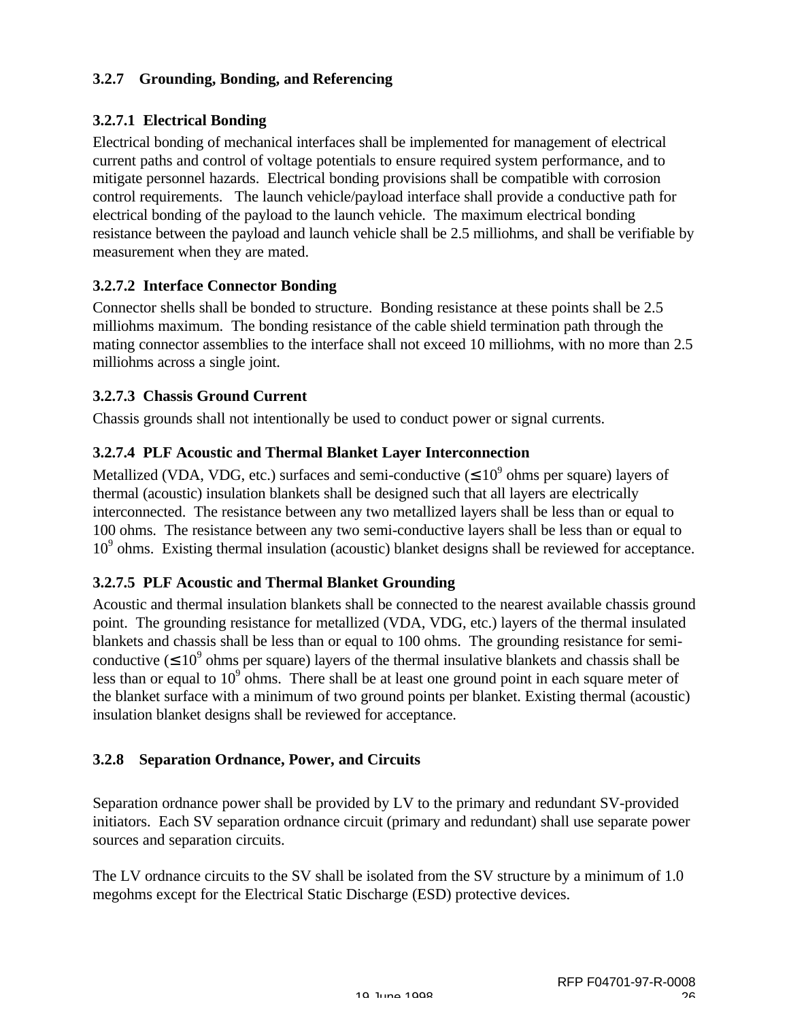## **3.2.7 Grounding, Bonding, and Referencing**

## **3.2.7.1 Electrical Bonding**

Electrical bonding of mechanical interfaces shall be implemented for management of electrical current paths and control of voltage potentials to ensure required system performance, and to mitigate personnel hazards. Electrical bonding provisions shall be compatible with corrosion control requirements. The launch vehicle/payload interface shall provide a conductive path for electrical bonding of the payload to the launch vehicle. The maximum electrical bonding resistance between the payload and launch vehicle shall be 2.5 milliohms, and shall be verifiable by measurement when they are mated.

#### **3.2.7.2 Interface Connector Bonding**

Connector shells shall be bonded to structure. Bonding resistance at these points shall be 2.5 milliohms maximum. The bonding resistance of the cable shield termination path through the mating connector assemblies to the interface shall not exceed 10 milliohms, with no more than 2.5 milliohms across a single joint.

#### **3.2.7.3 Chassis Ground Current**

Chassis grounds shall not intentionally be used to conduct power or signal currents.

#### **3.2.7.4 PLF Acoustic and Thermal Blanket Layer Interconnection**

Metallized (VDA, VDG, etc.) surfaces and semi-conductive ( $\leq 10^9$  ohms per square) layers of thermal (acoustic) insulation blankets shall be designed such that all layers are electrically interconnected. The resistance between any two metallized layers shall be less than or equal to 100 ohms. The resistance between any two semi-conductive layers shall be less than or equal to 10<sup>9</sup> ohms. Existing thermal insulation (acoustic) blanket designs shall be reviewed for acceptance.

#### **3.2.7.5 PLF Acoustic and Thermal Blanket Grounding**

Acoustic and thermal insulation blankets shall be connected to the nearest available chassis ground point. The grounding resistance for metallized (VDA, VDG, etc.) layers of the thermal insulated blankets and chassis shall be less than or equal to 100 ohms. The grounding resistance for semiconductive ( $\leq 10^9$  ohms per square) layers of the thermal insulative blankets and chassis shall be less than or equal to  $10^9$  ohms. There shall be at least one ground point in each square meter of the blanket surface with a minimum of two ground points per blanket. Existing thermal (acoustic) insulation blanket designs shall be reviewed for acceptance.

#### **3.2.8 Separation Ordnance, Power, and Circuits**

Separation ordnance power shall be provided by LV to the primary and redundant SV-provided initiators. Each SV separation ordnance circuit (primary and redundant) shall use separate power sources and separation circuits.

The LV ordnance circuits to the SV shall be isolated from the SV structure by a minimum of 1.0 megohms except for the Electrical Static Discharge (ESD) protective devices.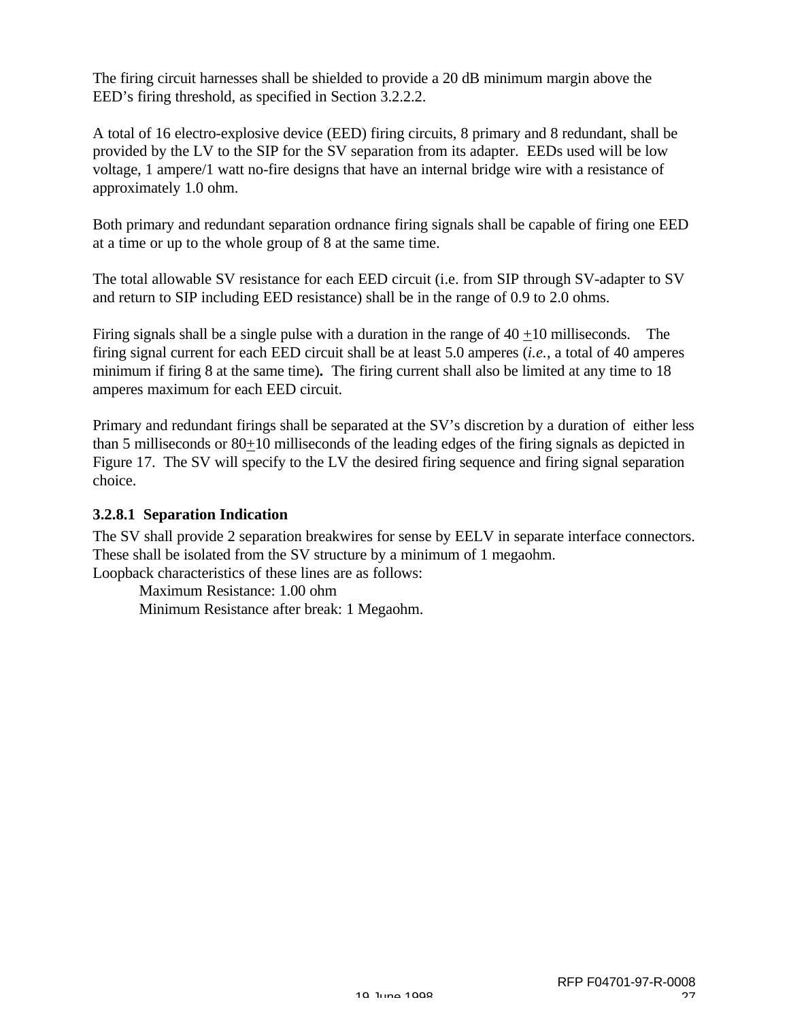The firing circuit harnesses shall be shielded to provide a 20 dB minimum margin above the EED's firing threshold, as specified in Section 3.2.2.2.

A total of 16 electro-explosive device (EED) firing circuits, 8 primary and 8 redundant, shall be provided by the LV to the SIP for the SV separation from its adapter. EEDs used will be low voltage, 1 ampere/1 watt no-fire designs that have an internal bridge wire with a resistance of approximately 1.0 ohm.

Both primary and redundant separation ordnance firing signals shall be capable of firing one EED at a time or up to the whole group of 8 at the same time.

The total allowable SV resistance for each EED circuit (i.e. from SIP through SV-adapter to SV and return to SIP including EED resistance) shall be in the range of 0.9 to 2.0 ohms.

Firing signals shall be a single pulse with a duration in the range of  $40 + 10$  milliseconds. The firing signal current for each EED circuit shall be at least 5.0 amperes (*i.e.*, a total of 40 amperes minimum if firing 8 at the same time)**.** The firing current shall also be limited at any time to 18 amperes maximum for each EED circuit.

Primary and redundant firings shall be separated at the SV's discretion by a duration of either less than 5 milliseconds or 80+10 milliseconds of the leading edges of the firing signals as depicted in Figure 17. The SV will specify to the LV the desired firing sequence and firing signal separation choice.

#### **3.2.8.1 Separation Indication**

The SV shall provide 2 separation breakwires for sense by EELV in separate interface connectors. These shall be isolated from the SV structure by a minimum of 1 megaohm.

Loopback characteristics of these lines are as follows:

Maximum Resistance: 1.00 ohm Minimum Resistance after break: 1 Megaohm.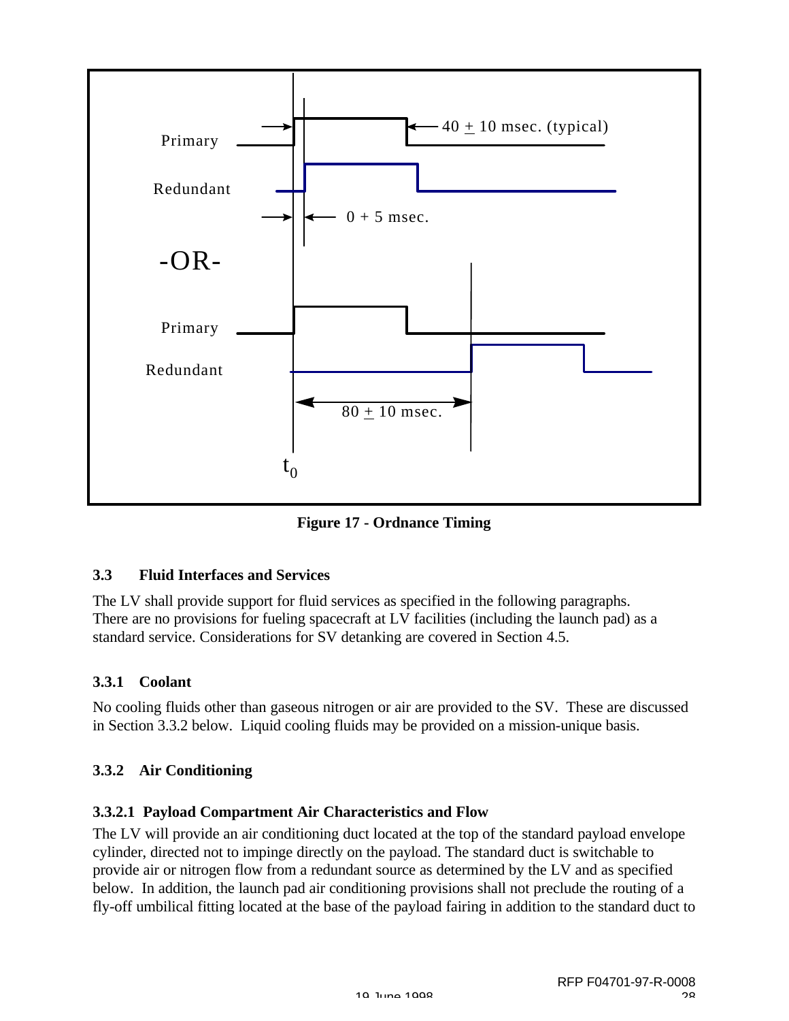

**Figure 17 - Ordnance Timing**

# **3.3 Fluid Interfaces and Services**

The LV shall provide support for fluid services as specified in the following paragraphs. There are no provisions for fueling spacecraft at LV facilities (including the launch pad) as a standard service. Considerations for SV detanking are covered in Section 4.5.

# **3.3.1 Coolant**

No cooling fluids other than gaseous nitrogen or air are provided to the SV. These are discussed in Section 3.3.2 below. Liquid cooling fluids may be provided on a mission-unique basis.

# **3.3.2 Air Conditioning**

# **3.3.2.1 Payload Compartment Air Characteristics and Flow**

The LV will provide an air conditioning duct located at the top of the standard payload envelope cylinder, directed not to impinge directly on the payload. The standard duct is switchable to provide air or nitrogen flow from a redundant source as determined by the LV and as specified below. In addition, the launch pad air conditioning provisions shall not preclude the routing of a fly-off umbilical fitting located at the base of the payload fairing in addition to the standard duct to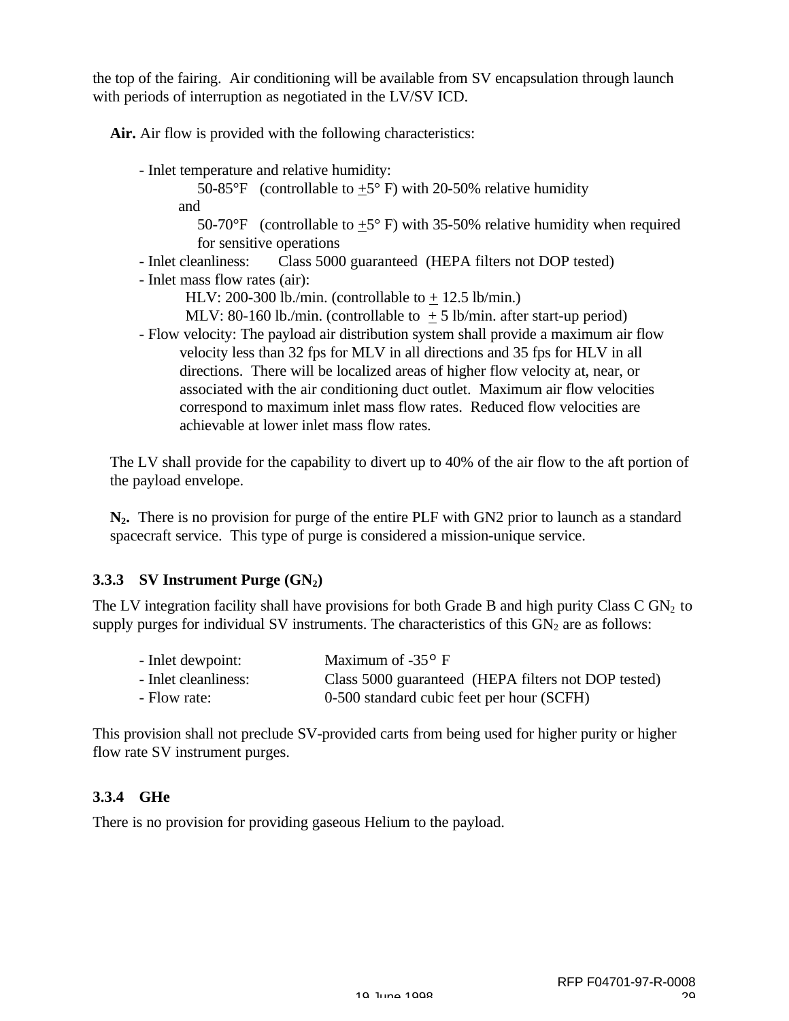the top of the fairing. Air conditioning will be available from SV encapsulation through launch with periods of interruption as negotiated in the LV/SV ICD.

**Air.** Air flow is provided with the following characteristics:

- Inlet temperature and relative humidity: 50-85°F (controllable to  $\pm$ 5°F) with 20-50% relative humidity and 50-70°F (controllable to  $+5$ °F) with 35-50% relative humidity when required for sensitive operations - Inlet cleanliness: Class 5000 guaranteed (HEPA filters not DOP tested) - Inlet mass flow rates (air): HLV: 200-300 lb./min. (controllable to  $\pm$  12.5 lb/min.) MLV: 80-160 lb./min. (controllable to  $+5$  lb/min. after start-up period) - Flow velocity: The payload air distribution system shall provide a maximum air flow velocity less than 32 fps for MLV in all directions and 35 fps for HLV in all directions. There will be localized areas of higher flow velocity at, near, or associated with the air conditioning duct outlet. Maximum air flow velocities correspond to maximum inlet mass flow rates. Reduced flow velocities are achievable at lower inlet mass flow rates.

The LV shall provide for the capability to divert up to 40% of the air flow to the aft portion of the payload envelope.

**N2.** There is no provision for purge of the entire PLF with GN2 prior to launch as a standard spacecraft service. This type of purge is considered a mission-unique service.

#### **3.3.3 SV Instrument Purge (GN2)**

The LV integration facility shall have provisions for both Grade B and high purity Class C  $GN_2$  to supply purges for individual SV instruments. The characteristics of this  $GN_2$  are as follows:

| - Inlet dewpoint:    | Maximum of $-35$ ° F                                |
|----------------------|-----------------------------------------------------|
| - Inlet cleanliness: | Class 5000 guaranteed (HEPA filters not DOP tested) |
| - Flow rate:         | 0-500 standard cubic feet per hour (SCFH)           |

This provision shall not preclude SV-provided carts from being used for higher purity or higher flow rate SV instrument purges.

#### **3.3.4 GHe**

There is no provision for providing gaseous Helium to the payload.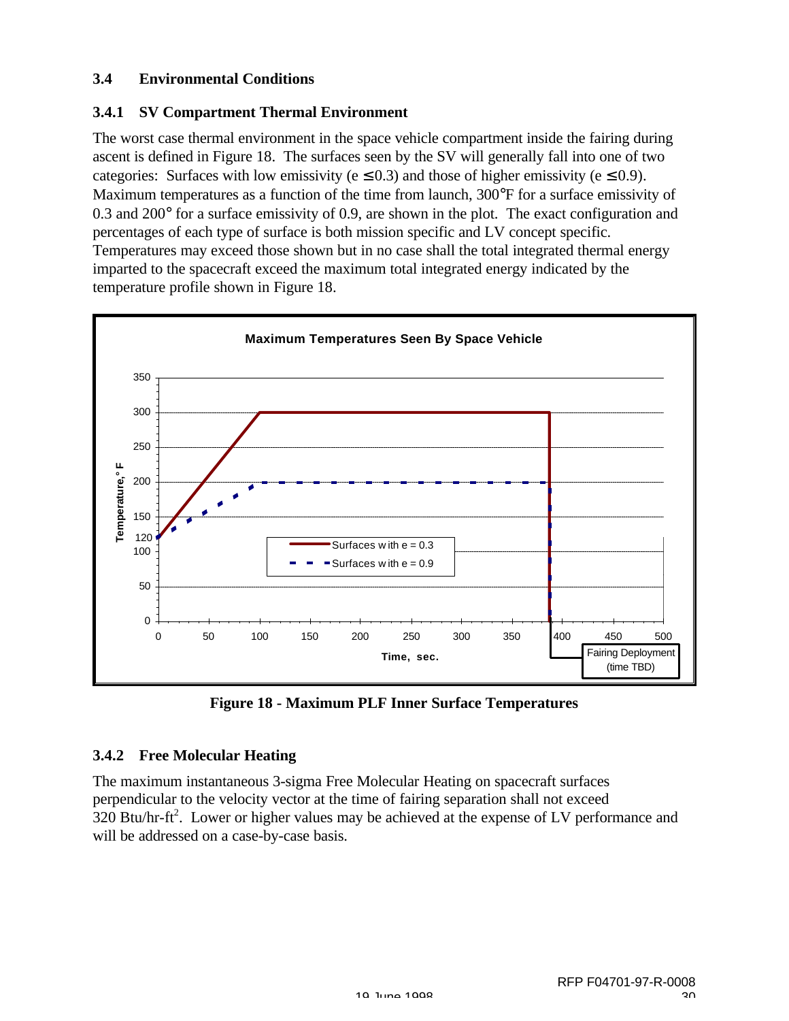#### **3.4 Environmental Conditions**

## **3.4.1 SV Compartment Thermal Environment**

The worst case thermal environment in the space vehicle compartment inside the fairing during ascent is defined in Figure 18. The surfaces seen by the SV will generally fall into one of two categories: Surfaces with low emissivity ( $e \le 0.3$ ) and those of higher emissivity ( $e \le 0.9$ ). Maximum temperatures as a function of the time from launch, 300°F for a surface emissivity of 0.3 and 200° for a surface emissivity of 0.9, are shown in the plot. The exact configuration and percentages of each type of surface is both mission specific and LV concept specific. Temperatures may exceed those shown but in no case shall the total integrated thermal energy imparted to the spacecraft exceed the maximum total integrated energy indicated by the temperature profile shown in Figure 18.



**Figure 18 - Maximum PLF Inner Surface Temperatures**

# **3.4.2 Free Molecular Heating**

The maximum instantaneous 3-sigma Free Molecular Heating on spacecraft surfaces perpendicular to the velocity vector at the time of fairing separation shall not exceed 320 Btu/hr-ft<sup>2</sup>. Lower or higher values may be achieved at the expense of LV performance and will be addressed on a case-by-case basis.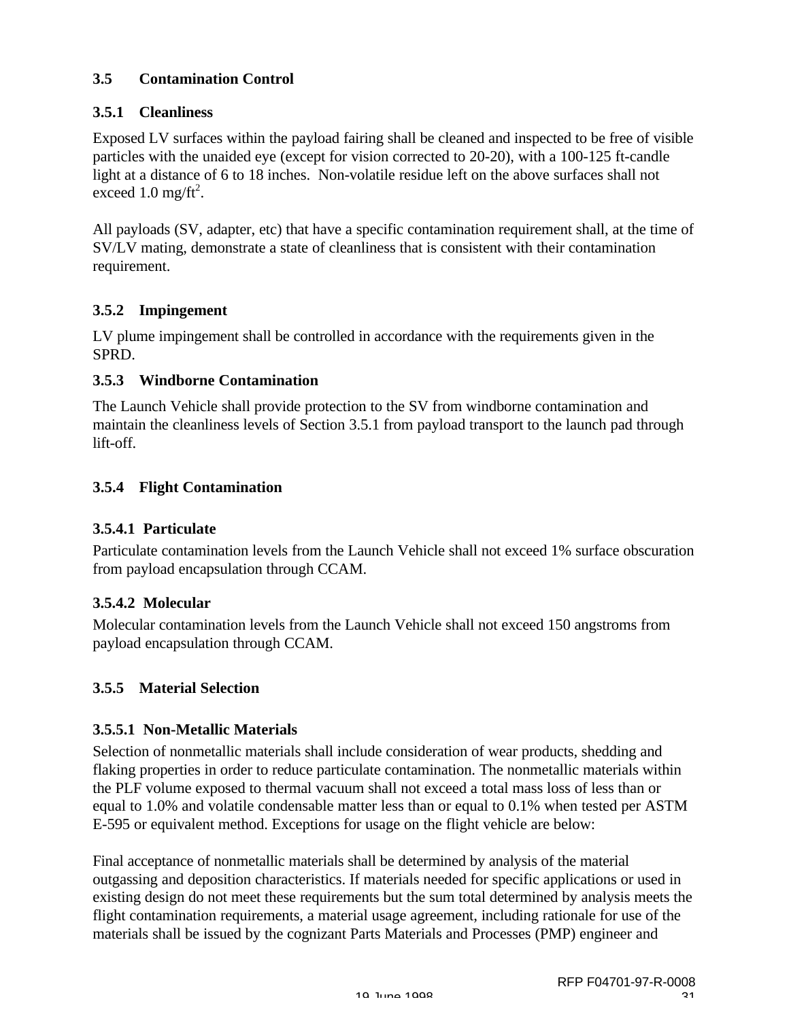#### **3.5 Contamination Control**

#### **3.5.1 Cleanliness**

Exposed LV surfaces within the payload fairing shall be cleaned and inspected to be free of visible particles with the unaided eye (except for vision corrected to 20-20), with a 100-125 ft-candle light at a distance of 6 to 18 inches. Non-volatile residue left on the above surfaces shall not exceed 1.0 mg/ft<sup>2</sup>.

All payloads (SV, adapter, etc) that have a specific contamination requirement shall, at the time of SV/LV mating, demonstrate a state of cleanliness that is consistent with their contamination requirement.

#### **3.5.2 Impingement**

LV plume impingement shall be controlled in accordance with the requirements given in the SPRD.

#### **3.5.3 Windborne Contamination**

The Launch Vehicle shall provide protection to the SV from windborne contamination and maintain the cleanliness levels of Section 3.5.1 from payload transport to the launch pad through lift-off.

#### **3.5.4 Flight Contamination**

#### **3.5.4.1 Particulate**

Particulate contamination levels from the Launch Vehicle shall not exceed 1% surface obscuration from payload encapsulation through CCAM.

#### **3.5.4.2 Molecular**

Molecular contamination levels from the Launch Vehicle shall not exceed 150 angstroms from payload encapsulation through CCAM.

#### **3.5.5 Material Selection**

#### **3.5.5.1 Non-Metallic Materials**

Selection of nonmetallic materials shall include consideration of wear products, shedding and flaking properties in order to reduce particulate contamination. The nonmetallic materials within the PLF volume exposed to thermal vacuum shall not exceed a total mass loss of less than or equal to 1.0% and volatile condensable matter less than or equal to 0.1% when tested per ASTM E-595 or equivalent method. Exceptions for usage on the flight vehicle are below:

Final acceptance of nonmetallic materials shall be determined by analysis of the material outgassing and deposition characteristics. If materials needed for specific applications or used in existing design do not meet these requirements but the sum total determined by analysis meets the flight contamination requirements, a material usage agreement, including rationale for use of the materials shall be issued by the cognizant Parts Materials and Processes (PMP) engineer and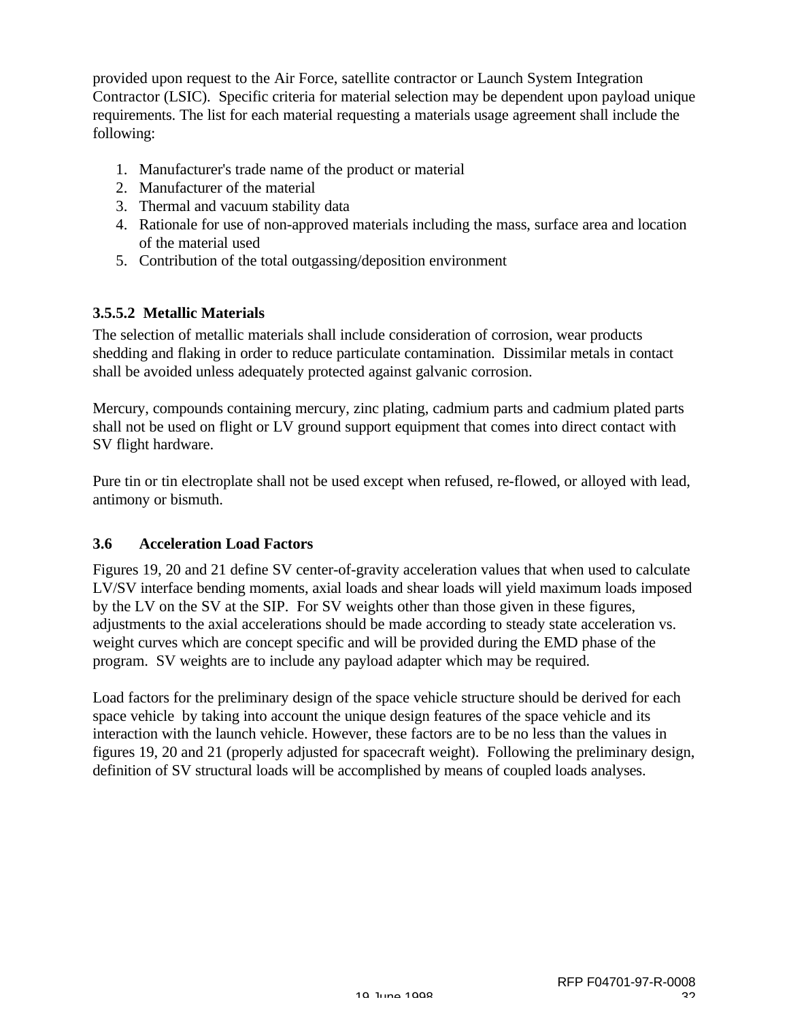provided upon request to the Air Force, satellite contractor or Launch System Integration Contractor (LSIC). Specific criteria for material selection may be dependent upon payload unique requirements. The list for each material requesting a materials usage agreement shall include the following:

- 1. Manufacturer's trade name of the product or material
- 2. Manufacturer of the material
- 3. Thermal and vacuum stability data
- 4. Rationale for use of non-approved materials including the mass, surface area and location of the material used
- 5. Contribution of the total outgassing/deposition environment

#### **3.5.5.2 Metallic Materials**

The selection of metallic materials shall include consideration of corrosion, wear products shedding and flaking in order to reduce particulate contamination. Dissimilar metals in contact shall be avoided unless adequately protected against galvanic corrosion.

Mercury, compounds containing mercury, zinc plating, cadmium parts and cadmium plated parts shall not be used on flight or LV ground support equipment that comes into direct contact with SV flight hardware.

Pure tin or tin electroplate shall not be used except when refused, re-flowed, or alloyed with lead, antimony or bismuth.

#### **3.6 Acceleration Load Factors**

Figures 19, 20 and 21 define SV center-of-gravity acceleration values that when used to calculate LV/SV interface bending moments, axial loads and shear loads will yield maximum loads imposed by the LV on the SV at the SIP. For SV weights other than those given in these figures, adjustments to the axial accelerations should be made according to steady state acceleration vs. weight curves which are concept specific and will be provided during the EMD phase of the program. SV weights are to include any payload adapter which may be required.

Load factors for the preliminary design of the space vehicle structure should be derived for each space vehicle by taking into account the unique design features of the space vehicle and its interaction with the launch vehicle. However, these factors are to be no less than the values in figures 19, 20 and 21 (properly adjusted for spacecraft weight). Following the preliminary design, definition of SV structural loads will be accomplished by means of coupled loads analyses.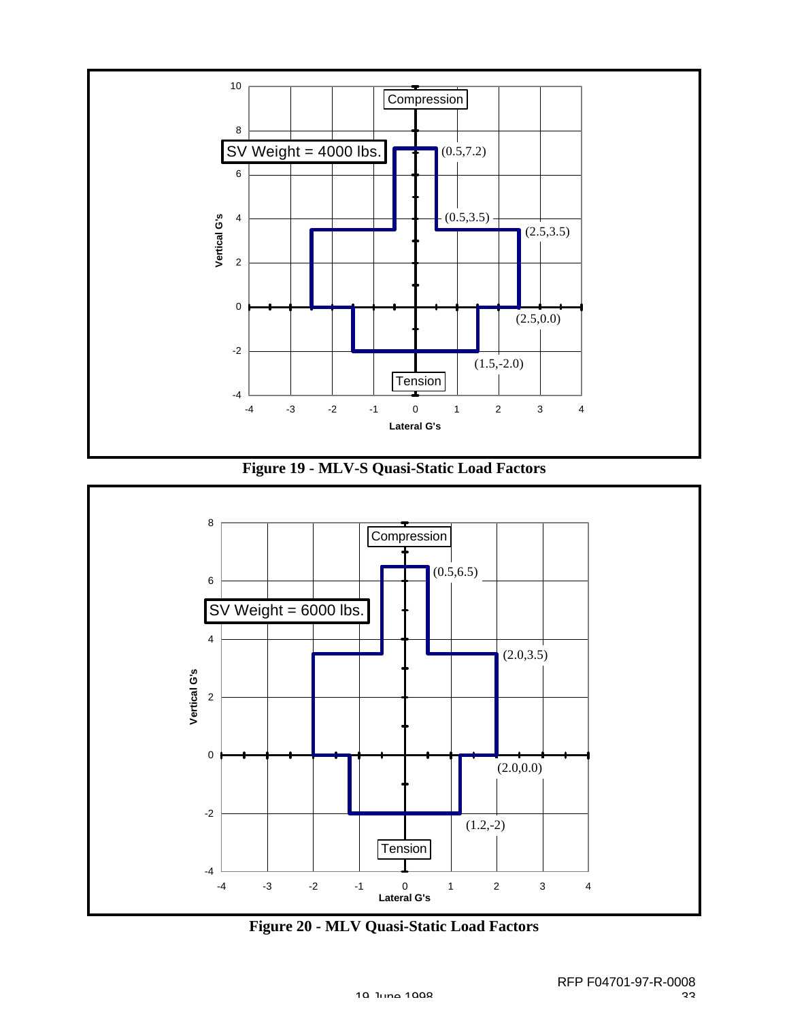





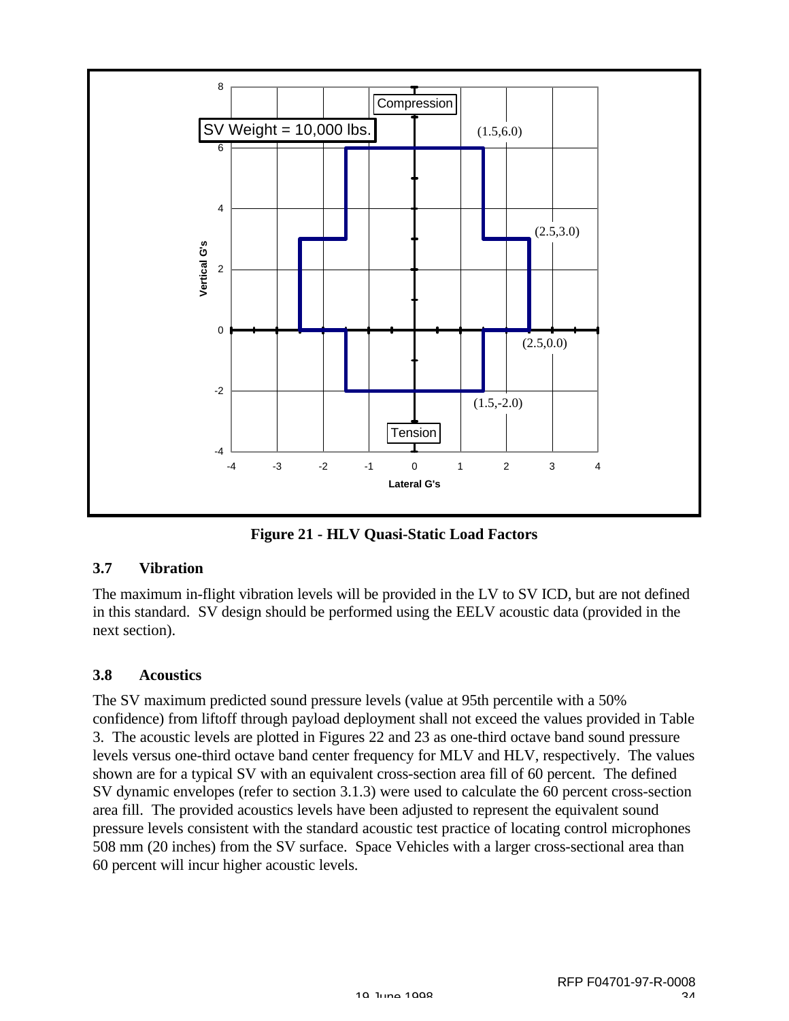

**Figure 21 - HLV Quasi-Static Load Factors**

# **3.7 Vibration**

The maximum in-flight vibration levels will be provided in the LV to SV ICD, but are not defined in this standard. SV design should be performed using the EELV acoustic data (provided in the next section).

# **3.8 Acoustics**

The SV maximum predicted sound pressure levels (value at 95th percentile with a 50% confidence) from liftoff through payload deployment shall not exceed the values provided in Table 3. The acoustic levels are plotted in Figures 22 and 23 as one-third octave band sound pressure levels versus one-third octave band center frequency for MLV and HLV, respectively. The values shown are for a typical SV with an equivalent cross-section area fill of 60 percent. The defined SV dynamic envelopes (refer to section 3.1.3) were used to calculate the 60 percent cross-section area fill. The provided acoustics levels have been adjusted to represent the equivalent sound pressure levels consistent with the standard acoustic test practice of locating control microphones 508 mm (20 inches) from the SV surface. Space Vehicles with a larger cross-sectional area than 60 percent will incur higher acoustic levels.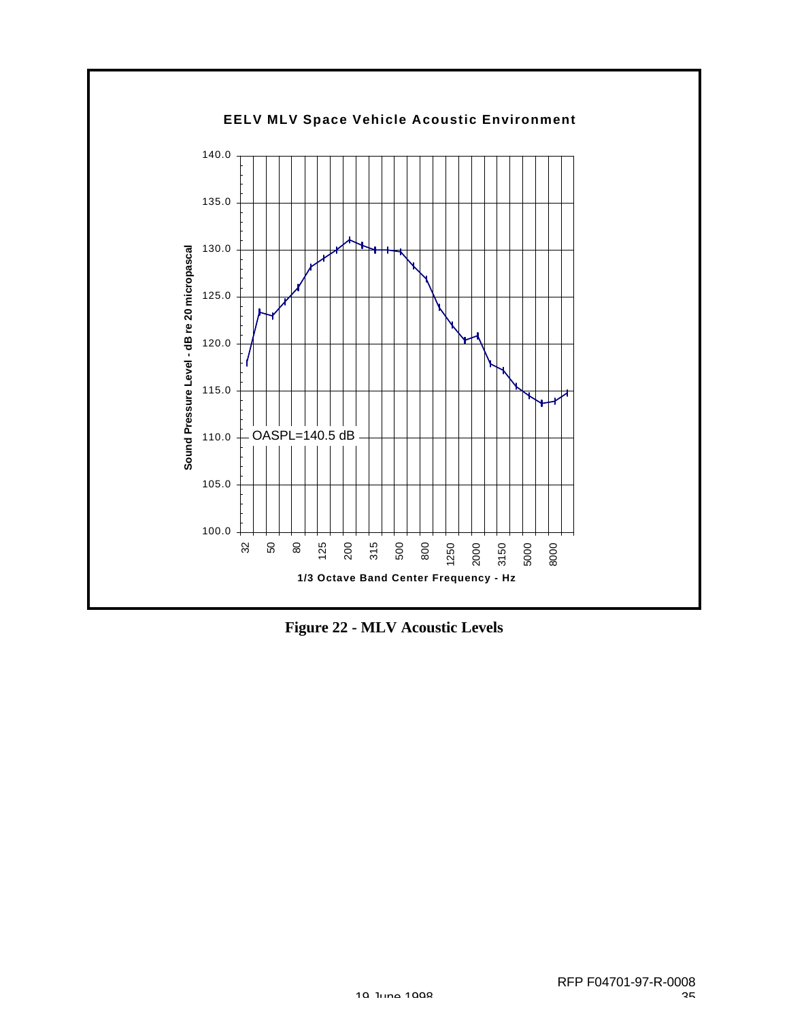

**Figure 22 - MLV Acoustic Levels**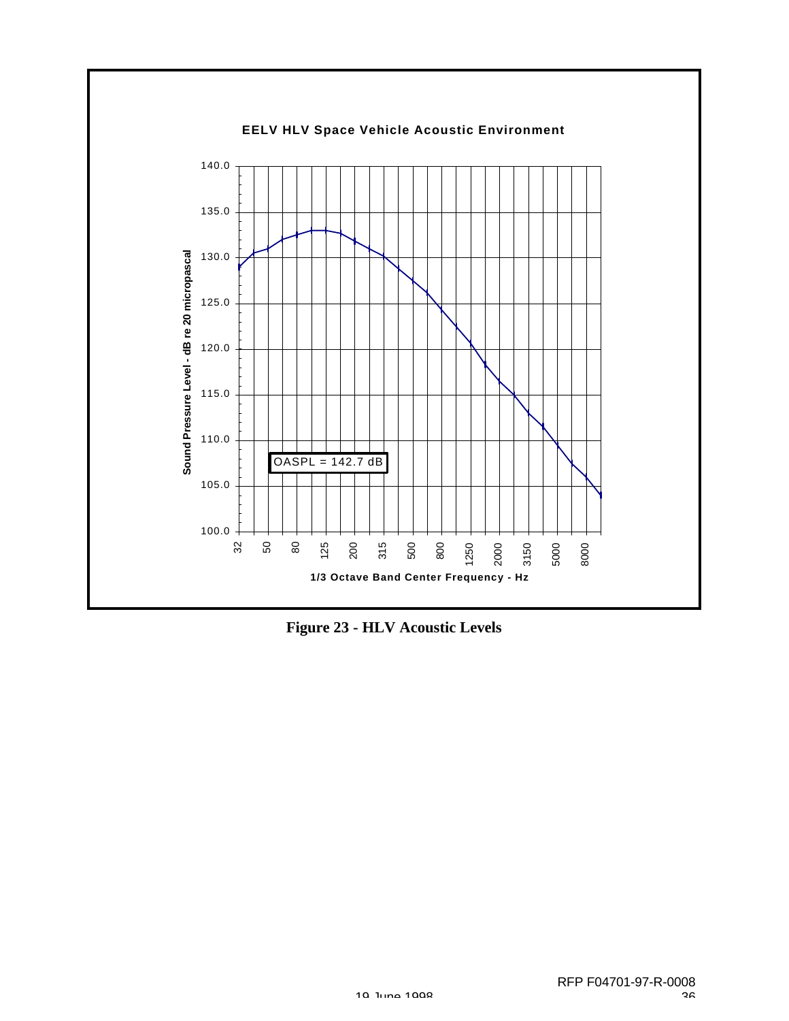

**Figure 23 - HLV Acoustic Levels**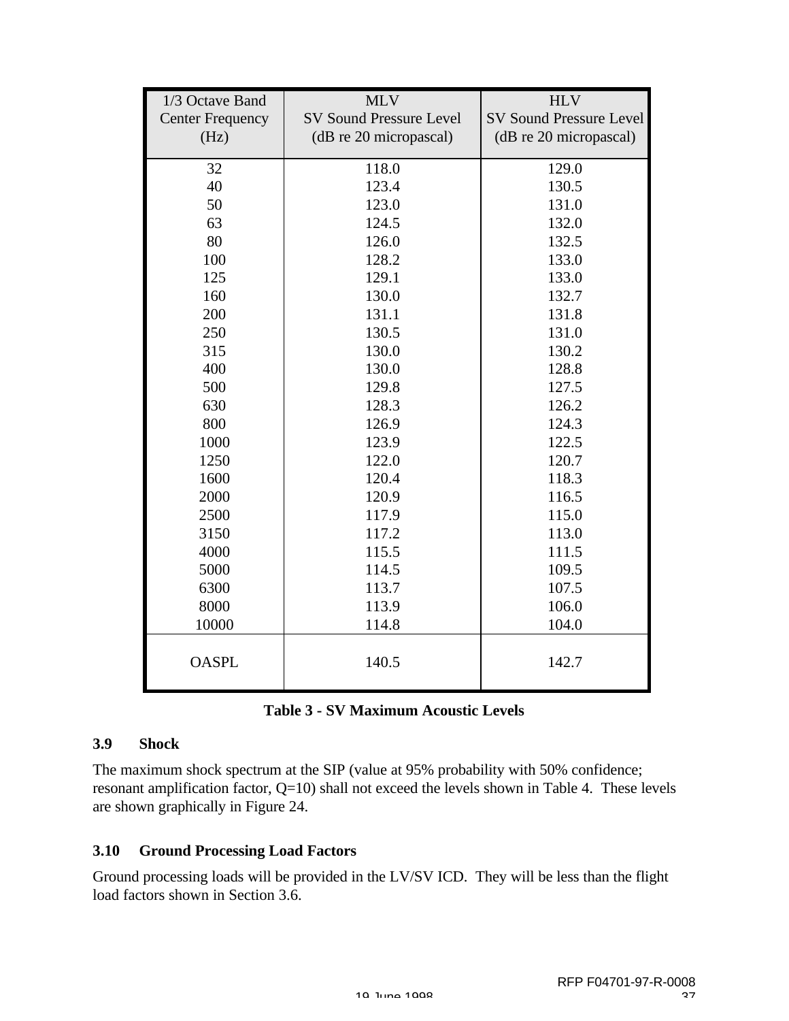| 1/3 Octave Band         | <b>MLV</b>                     | <b>HLV</b>                     |
|-------------------------|--------------------------------|--------------------------------|
| <b>Center Frequency</b> | <b>SV Sound Pressure Level</b> | <b>SV Sound Pressure Level</b> |
| (Hz)                    | (dB re 20 micropascal)         | (dB re 20 micropascal)         |
|                         |                                |                                |
| 32                      | 118.0                          | 129.0                          |
| 40                      | 123.4                          | 130.5                          |
| 50                      | 123.0                          | 131.0                          |
| 63                      | 124.5                          | 132.0                          |
| 80                      | 126.0                          | 132.5                          |
| 100                     | 128.2                          | 133.0                          |
| 125                     | 129.1                          | 133.0                          |
| 160                     | 130.0                          | 132.7                          |
| 200                     | 131.1                          | 131.8                          |
| 250                     | 130.5                          | 131.0                          |
| 315                     | 130.0                          | 130.2                          |
| 400                     | 130.0                          | 128.8                          |
| 500                     | 129.8                          | 127.5                          |
| 630                     | 128.3                          | 126.2                          |
| 800                     | 126.9                          | 124.3                          |
| 1000                    | 123.9                          | 122.5                          |
| 1250                    | 122.0                          | 120.7                          |
| 1600                    | 120.4                          | 118.3                          |
| 2000                    | 120.9                          | 116.5                          |
| 2500                    | 117.9                          | 115.0                          |
| 3150                    | 117.2                          | 113.0                          |
| 4000                    | 115.5                          | 111.5                          |
| 5000                    | 114.5                          | 109.5                          |
| 6300                    | 113.7                          | 107.5                          |
| 8000                    | 113.9                          | 106.0                          |
| 10000                   | 114.8                          | 104.0                          |
|                         |                                |                                |
| <b>OASPL</b>            | 140.5                          | 142.7                          |
|                         |                                |                                |

|  |  | <b>Table 3 - SV Maximum Acoustic Levels</b> |
|--|--|---------------------------------------------|
|--|--|---------------------------------------------|

#### **3.9 Shock**

The maximum shock spectrum at the SIP (value at 95% probability with 50% confidence; resonant amplification factor, Q=10) shall not exceed the levels shown in Table 4. These levels are shown graphically in Figure 24.

#### **3.10 Ground Processing Load Factors**

Ground processing loads will be provided in the LV/SV ICD. They will be less than the flight load factors shown in Section 3.6.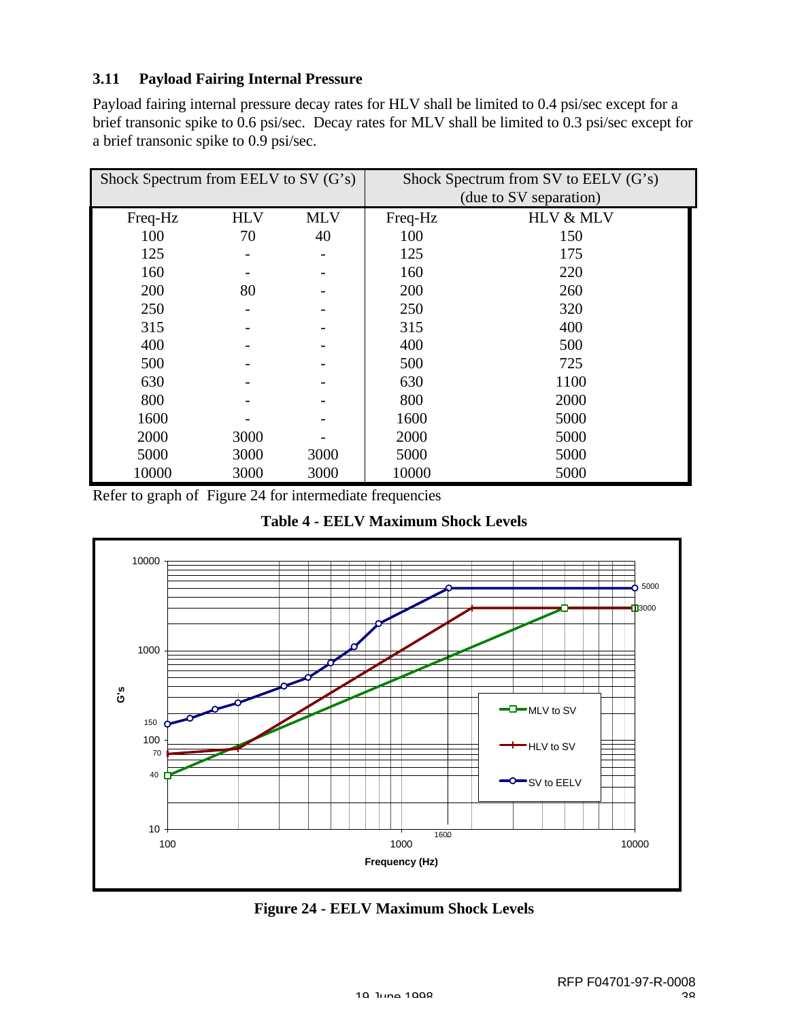## **3.11 Payload Fairing Internal Pressure**

Payload fairing internal pressure decay rates for HLV shall be limited to 0.4 psi/sec except for a brief transonic spike to 0.6 psi/sec. Decay rates for MLV shall be limited to 0.3 psi/sec except for a brief transonic spike to 0.9 psi/sec.

| Shock Spectrum from EELV to $SV(G's)$ |            |            |         | Shock Spectrum from SV to EELV (G's) |
|---------------------------------------|------------|------------|---------|--------------------------------------|
|                                       |            |            |         | (due to SV separation)               |
| Freq-Hz                               | <b>HLV</b> | <b>MLV</b> | Freq-Hz | HLV & MLV                            |
| 100                                   | 70         | 40         | 100     | 150                                  |
| 125                                   |            |            | 125     | 175                                  |
| 160                                   |            |            | 160     | 220                                  |
| 200                                   | 80         |            | 200     | 260                                  |
| 250                                   |            |            | 250     | 320                                  |
| 315                                   |            |            | 315     | 400                                  |
| 400                                   |            |            | 400     | 500                                  |
| 500                                   |            |            | 500     | 725                                  |
| 630                                   |            |            | 630     | 1100                                 |
| 800                                   |            |            | 800     | 2000                                 |
| 1600                                  |            |            | 1600    | 5000                                 |
| 2000                                  | 3000       |            | 2000    | 5000                                 |
| 5000                                  | 3000       | 3000       | 5000    | 5000                                 |
| 10000                                 | 3000       | 3000       | 10000   | 5000                                 |

Refer to graph of Figure 24 for intermediate frequencies

**Table 4 - EELV Maximum Shock Levels**



**Figure 24 - EELV Maximum Shock Levels**